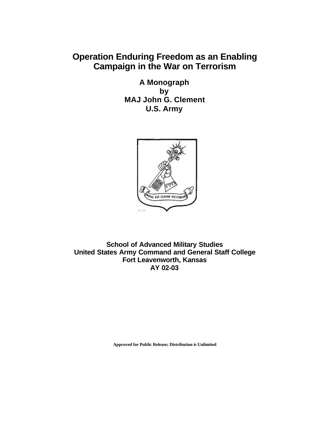## **Operation Enduring Freedom as an Enabling Campaign in the War on Terrorism**

**A Monograph by MAJ John G. Clement U.S. Army**



**School of Advanced Military Studies United States Army Command and General Staff College Fort Leavenworth, Kansas AY 02-03**

**Approved for Public Release; Distribution is Unlimited**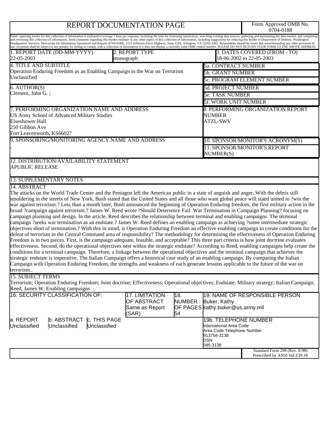# REPORT DOCUMENTATION PAGE

Form Approved OMB No.<br>0704-0188

| Public reporting burder for this collection of information is estibated to average 1 hour per response, including the time for reviewing instructions, searching existing data sources, gathering and maintaining the data nee<br>and reviewing this collection of information. Send comments regarding this burden estimate or any other aspect of this collection of information, including suggestions for reducing this burder to Department of Defense, Was<br>Headquarters Services, Directorate for Information Operations and Reports (0704-0188), 1215 Jefferson Davis Highway, Suite 1204, Arlington, VA 22202-4302. Respondents should be aware that notwithstanding any other provisio                                                                                                                                                                                                                                                                                                                                                                                                                                                                                                                                                                                                                                                                                                                                                                                                                                                                                                                                                                                                                                                               |  |                                                                                                                  |                            |                                                  |                                                                |  |
|------------------------------------------------------------------------------------------------------------------------------------------------------------------------------------------------------------------------------------------------------------------------------------------------------------------------------------------------------------------------------------------------------------------------------------------------------------------------------------------------------------------------------------------------------------------------------------------------------------------------------------------------------------------------------------------------------------------------------------------------------------------------------------------------------------------------------------------------------------------------------------------------------------------------------------------------------------------------------------------------------------------------------------------------------------------------------------------------------------------------------------------------------------------------------------------------------------------------------------------------------------------------------------------------------------------------------------------------------------------------------------------------------------------------------------------------------------------------------------------------------------------------------------------------------------------------------------------------------------------------------------------------------------------------------------------------------------------------------------------------------------------|--|------------------------------------------------------------------------------------------------------------------|----------------------------|--------------------------------------------------|----------------------------------------------------------------|--|
| law, no person shall be subject to any penalty for failing to comply with a collection of information if it does not display a currently valid OMB control number. PLEASE DO NOT RETURN YOUR FORM TO THE ABOVE ADDRESS.<br>1. REPORT DATE (DD-MM-YYYY)<br>22-05-2003                                                                                                                                                                                                                                                                                                                                                                                                                                                                                                                                                                                                                                                                                                                                                                                                                                                                                                                                                                                                                                                                                                                                                                                                                                                                                                                                                                                                                                                                                             |  | 2. REPORT TYPE<br>monograph                                                                                      |                            |                                                  | 3. DATES COVERED (FROM - TO)<br>18-06-2002 to 22-05-2003       |  |
| <b>4. TITLE AND SUBTITLE</b>                                                                                                                                                                                                                                                                                                                                                                                                                                                                                                                                                                                                                                                                                                                                                                                                                                                                                                                                                                                                                                                                                                                                                                                                                                                                                                                                                                                                                                                                                                                                                                                                                                                                                                                                     |  |                                                                                                                  |                            | <b>5a. CONTRACT NUMBER</b>                       |                                                                |  |
| Operation Enduring Freedom as an Enabling Campaign in the War on Terrorism                                                                                                                                                                                                                                                                                                                                                                                                                                                                                                                                                                                                                                                                                                                                                                                                                                                                                                                                                                                                                                                                                                                                                                                                                                                                                                                                                                                                                                                                                                                                                                                                                                                                                       |  |                                                                                                                  |                            | <b>5b. GRANT NUMBER</b>                          |                                                                |  |
| Unclassified                                                                                                                                                                                                                                                                                                                                                                                                                                                                                                                                                                                                                                                                                                                                                                                                                                                                                                                                                                                                                                                                                                                                                                                                                                                                                                                                                                                                                                                                                                                                                                                                                                                                                                                                                     |  |                                                                                                                  |                            | <b>5c. PROGRAM ELEMENT NUMBER</b>                |                                                                |  |
| 6. AUTHOR(S)                                                                                                                                                                                                                                                                                                                                                                                                                                                                                                                                                                                                                                                                                                                                                                                                                                                                                                                                                                                                                                                                                                                                                                                                                                                                                                                                                                                                                                                                                                                                                                                                                                                                                                                                                     |  |                                                                                                                  |                            | 5d. PROJECT NUMBER                               |                                                                |  |
| Clement, John G.;                                                                                                                                                                                                                                                                                                                                                                                                                                                                                                                                                                                                                                                                                                                                                                                                                                                                                                                                                                                                                                                                                                                                                                                                                                                                                                                                                                                                                                                                                                                                                                                                                                                                                                                                                |  |                                                                                                                  | <b>5e. TASK NUMBER</b>     |                                                  |                                                                |  |
|                                                                                                                                                                                                                                                                                                                                                                                                                                                                                                                                                                                                                                                                                                                                                                                                                                                                                                                                                                                                                                                                                                                                                                                                                                                                                                                                                                                                                                                                                                                                                                                                                                                                                                                                                                  |  |                                                                                                                  |                            | <b>5f. WORK UNIT NUMBER</b>                      |                                                                |  |
|                                                                                                                                                                                                                                                                                                                                                                                                                                                                                                                                                                                                                                                                                                                                                                                                                                                                                                                                                                                                                                                                                                                                                                                                                                                                                                                                                                                                                                                                                                                                                                                                                                                                                                                                                                  |  |                                                                                                                  |                            |                                                  |                                                                |  |
| 7. PERFORMING ORGANIZATION NAME AND ADDRESS<br>US Army School of Advanced Military Studies<br>Eisenhower Hall<br>250 Gibbon Ave<br>Fort Leavenworth, KS66027                                                                                                                                                                                                                                                                                                                                                                                                                                                                                                                                                                                                                                                                                                                                                                                                                                                                                                                                                                                                                                                                                                                                                                                                                                                                                                                                                                                                                                                                                                                                                                                                     |  |                                                                                                                  |                            | <b>NUMBER</b><br><b>ATZL-SWV</b>                 | 8. PERFORMING ORGANIZATION REPORT                              |  |
| 9. SPONSORING/MONITORING AGENCY NAME AND ADDRESS                                                                                                                                                                                                                                                                                                                                                                                                                                                                                                                                                                                                                                                                                                                                                                                                                                                                                                                                                                                                                                                                                                                                                                                                                                                                                                                                                                                                                                                                                                                                                                                                                                                                                                                 |  |                                                                                                                  |                            | 10. SPONSOR/MONITOR'S ACRONYM(S)                 |                                                                |  |
|                                                                                                                                                                                                                                                                                                                                                                                                                                                                                                                                                                                                                                                                                                                                                                                                                                                                                                                                                                                                                                                                                                                                                                                                                                                                                                                                                                                                                                                                                                                                                                                                                                                                                                                                                                  |  |                                                                                                                  |                            | 11. SPONSOR/MONITOR'S REPORT<br>NUMBER(S)        |                                                                |  |
| 12. DISTRIBUTION/AVAILABILITY STATEMENT<br><b>APUBLIC RELEASE</b>                                                                                                                                                                                                                                                                                                                                                                                                                                                                                                                                                                                                                                                                                                                                                                                                                                                                                                                                                                                                                                                                                                                                                                                                                                                                                                                                                                                                                                                                                                                                                                                                                                                                                                |  |                                                                                                                  |                            |                                                  |                                                                |  |
| <b>13. SUPPLEMENTARY NOTES</b>                                                                                                                                                                                                                                                                                                                                                                                                                                                                                                                                                                                                                                                                                                                                                                                                                                                                                                                                                                                                                                                                                                                                                                                                                                                                                                                                                                                                                                                                                                                                                                                                                                                                                                                                   |  |                                                                                                                  |                            |                                                  |                                                                |  |
| 14. ABSTRACT                                                                                                                                                                                                                                                                                                                                                                                                                                                                                                                                                                                                                                                                                                                                                                                                                                                                                                                                                                                                                                                                                                                                                                                                                                                                                                                                                                                                                                                                                                                                                                                                                                                                                                                                                     |  |                                                                                                                  |                            |                                                  |                                                                |  |
| smoldering in the streets of New York, Bush stated that the United States and all those who want global peace will stand united to ?win the<br>war against terrorism.? Less than a month later, Bush announced the beginning of Operation Enduring freedom, the first military action in the<br>broad ?campaign against terrorism.? James W. Reed wrote ?Should Deterrence Fail: War Termination in Campaign Planning? focusing on<br>campaign planning and design. In the article, Reed describes the relationship between terminal and enabling campaigns. The terminal<br>campaign ?seeks war termination as an endstate.? James W. Reed defines an enabling campaign as achieving ?some intermediate strategic<br>objectives short of termination.? With this in mind, is Operation Enduring Freedom an effective enabling campaign to create conditions for the<br>defeat of terrorism in the Central Command area of responsibility? The methodology for determining the effectiveness of Operation Enduring<br>Freedom is in two pieces. First, is the campaign adequate, feasible, and acceptable? This three part criteria is how joint doctrine evaluates<br>effectiveness. Second, do the operational objectives nest within the strategic endstate? According to Reed, enabling campaigns help create the<br>conditions for a terminal campaign. Therefore, a linkage between the operational objectives and the terminal campaign that achieves the<br>strategic endstate is imperative. The Italian Campaign offers a historical case study of an enabling campaign. By comparing the Italian<br>Campaign with Operation Enduring Freedom, the strengths and weakness of each generate lessons applicable to the future of the war on<br>terrorism |  |                                                                                                                  |                            |                                                  |                                                                |  |
| <b>15. SUBJECT TERMS</b><br>Terrorism; Operation Enduring Freedom; Joint doctrine; Effectiveness; Operational objectives; Endstate; Military strategy; Italian Campaign;<br>Reed, James W. Enabling campaigns                                                                                                                                                                                                                                                                                                                                                                                                                                                                                                                                                                                                                                                                                                                                                                                                                                                                                                                                                                                                                                                                                                                                                                                                                                                                                                                                                                                                                                                                                                                                                    |  |                                                                                                                  |                            |                                                  |                                                                |  |
| 16. SECURITY CLASSIFICATION OF:                                                                                                                                                                                                                                                                                                                                                                                                                                                                                                                                                                                                                                                                                                                                                                                                                                                                                                                                                                                                                                                                                                                                                                                                                                                                                                                                                                                                                                                                                                                                                                                                                                                                                                                                  |  | 17. LIMITATION<br>OF ABSTRACT<br>Same as Report<br>(SAR)                                                         | 18.<br><b>NUMBER</b><br>54 | Buker, Kathy<br>OF PAGES kathy.buker@us.army.mil | 19. NAME OF RESPONSIBLE PERSON                                 |  |
| a. REPORT<br>b. ABSTRACT<br>c. THIS PAGE<br>Unclassified<br>Unclassified<br>Unclassified                                                                                                                                                                                                                                                                                                                                                                                                                                                                                                                                                                                                                                                                                                                                                                                                                                                                                                                                                                                                                                                                                                                                                                                                                                                                                                                                                                                                                                                                                                                                                                                                                                                                         |  | 19b. TELEPHONE NUMBER<br>International Area Code<br>Area Code Telephone Number<br>913758-3138<br>DSN<br>585-3138 |                            |                                                  |                                                                |  |
|                                                                                                                                                                                                                                                                                                                                                                                                                                                                                                                                                                                                                                                                                                                                                                                                                                                                                                                                                                                                                                                                                                                                                                                                                                                                                                                                                                                                                                                                                                                                                                                                                                                                                                                                                                  |  |                                                                                                                  |                            |                                                  | Standard Form 298 (Rev. 8-98)<br>Prescribed by ANSI Std Z39.18 |  |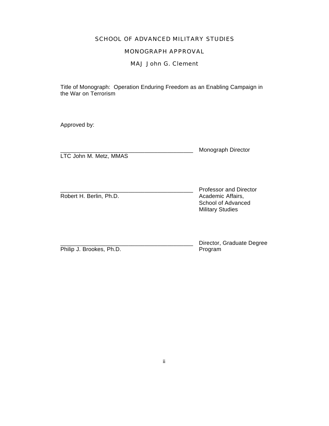#### SCHOOL OF ADVANCED MILITARY STUDIES

#### MONOGRAPH APPROVAL

MAJ John G. Clement

Title of Monograph: Operation Enduring Freedom as an Enabling Campaign in the War on Terrorism

Approved by:

LTC John M. Metz, MMAS

Monograph Director

Robert H. Berlin, Ph.D.

Professor and Director<br>Academic Affairs. School of Advanced Military Studies

Philip J. Brookes, Ph.D.

Director, Graduate Degree<br>Program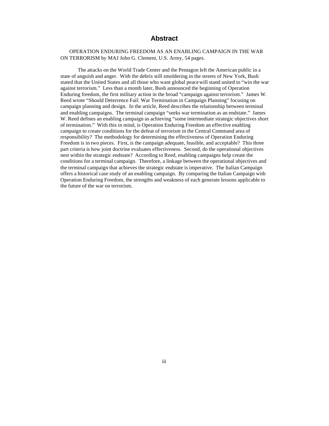#### **Abstract**

#### OPERATION ENDURING FREEDOM AS AN ENABLING CAMPAIGN IN THE WAR ON TERRORISM by MAJ John G. Clement, U.S. Army, 54 pages.

The attacks on the World Trade Center and the Pentagon left the American public in a state of anguish and anger. With the debris still smoldering in the streets of New York, Bush stated that the United States and all those who want global peace will stand united to "win the war against terrorism." Less than a month later, Bush announced the beginning of Operation Enduring freedom, the first military action in the broad "campaign against terrorism." James W. Reed wrote "Should Deterrence Fail: War Termination in Campaign Planning" focusing on campaign planning and design. In the article, Reed describes the relationship between terminal and enabling campaigns. The terminal campaign "seeks war termination as an endstate." James W. Reed defines an enabling campaign as achieving "some intermediate strategic objectives short of termination." With this in mind, is Operation Enduring Freedom an effective enabling campaign to create conditions for the defeat of terrorism in the Central Command area of responsibility? The methodology for determining the effectiveness of Operation Enduring Freedom is in two pieces. First, is the campaign adequate, feasible, and acceptable? This three part criteria is how joint doctrine evaluates effectiveness. Second, do the operational objectives nest within the strategic endstate? According to Reed, enabling campaigns help create the conditions for a terminal campaign. Therefore, a linkage between the operational objectives and the terminal campaign that achieves the strategic endstate is imperative. The Italian Campaign offers a historical case study of an enabling campaign. By comparing the Italian Campaign with Operation Enduring Freedom, the strengths and weakness of each generate lessons applicable to the future of the war on terrorism.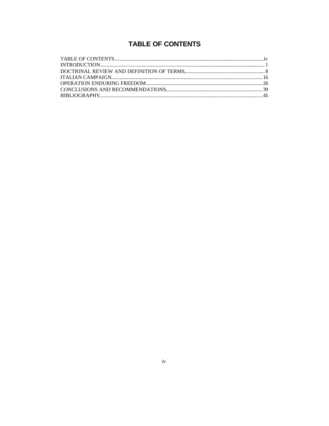## **TABLE OF CONTENTS**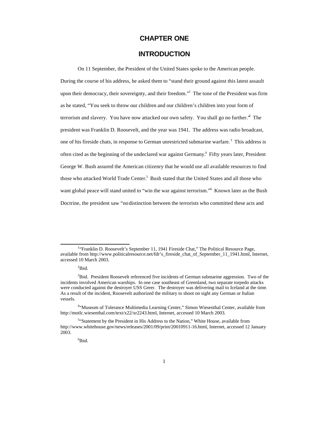### **CHAPTER ONE**

#### **INTRODUCTION**

On 11 September, the President of the United States spoke to the American people. During the course of his address, he asked them to "stand their ground against this latest assault upon their democracy, their sovereignty, and their freedom."<sup>1</sup> The tone of the President was firm as he stated, "You seek to throw our children and our children's children into your form of terrorism and slavery. You have now attacked our own safety. You shall go no further.<sup>3</sup> The president was Franklin D. Roosevelt, and the year was 1941. The address was radio broadcast, one of his fireside chats, in response to German unrestricted submarine warfare.<sup>3</sup> This address is often cited as the beginning of the undeclared war against Germany.<sup>4</sup> Fifty years later, President George W. Bush assured the American citizenry that he would use all available resources to find those who attacked World Trade Center.<sup>5</sup> Bush stated that the United States and all those who want global peace will stand united to "win the war against terrorism." Known later as the Bush Doctrine, the president saw "no distinction between the terrorists who committed these acts and

<sup>&</sup>lt;sup>1</sup>"Franklin D. Roosevelt's September 11, 1941 Fireside Chat," The Political Resource Page, available from http://www.politicalresource.net/fdr's\_fireside\_chat\_of\_September\_11\_1941.html, Internet, accessed 10 March 2003.

 $2$ Ibid.

<sup>&</sup>lt;sup>3</sup>Ibid. President Roosevelt referenced five incidents of German submarine aggression. Two of the incidents involved American warships. In one case southeast of Greenland, two separate torpedo attacks were conducted against the destroyer USS Greer. The destroyer was delivering mail to Iceland at the time. As a result of the incident, Roosevelt authorized the military to shoot on sight any German or Italian vessels.

<sup>&</sup>lt;sup>4.</sup> Museum of Tolerance Multimedia Learning Center," Simon Wiesenthal Center, available from http://motlc.wiesenthal.com/text/x22/xr2243.html, Internet, accessed 10 March 2003.

<sup>&</sup>lt;sup>5</sup>"Statement by the President in His Address to the Nation," White House, available from http://www.whitehouse.gov/news/releases/2001/09/print/20010911-16.html, Internet, accessed 12 January 2003.

<sup>6</sup> Ibid.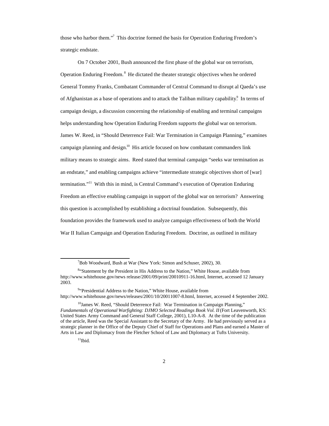those who harbor them."<sup>7</sup> This doctrine formed the basis for Operation Enduring Freedom's strategic endstate.

On 7 October 2001, Bush announced the first phase of the global war on terrorism, Operation Enduring Freedom.<sup>8</sup> He dictated the theater strategic objectives when he ordered General Tommy Franks, Combatant Commander of Central Command to disrupt al Qaeda's use of Afghanistan as a base of operations and to attack the Taliban military capability.<sup>9</sup> In terms of campaign design, a discussion concerning the relationship of enabling and terminal campaigns helps understanding how Operation Enduring Freedom supports the global war on terrorism. James W. Reed, in "Should Deterrence Fail: War Termination in Campaign Planning," examines campaign planning and design.<sup>10</sup> His article focused on how combatant commanders link military means to strategic aims. Reed stated that terminal campaign "seeks war termination as an endstate," and enabling campaigns achieve "intermediate strategic objectives short of [war] termination."<sup>11</sup> With this in mind, is Central Command's execution of Operation Enduring Freedom an effective enabling campaign in support of the global war on terrorism? Answering this question is accomplished by establishing a doctrinal foundation. Subsequently, this foundation provides the framework used to analyze campaign effectiveness of both the World War II Italian Campaign and Operation Enduring Freedom. Doctrine, as outlined in military

<sup>9</sup>"Presidential Address to the Nation," White House, available from http://www.whitehouse.gov/news/releases/2001/10/20011007-8.html, Internet, accessed 4 September 2002.

 $7$ Bob Woodward, Bush at War (New York: Simon and Schuser, 2002), 30.

<sup>&</sup>lt;sup>8</sup>"Statement by the President in His Address to the Nation," White House, available from http://www.whitehouse.gov/news release/2001/09/print/20010911-16.html, Internet, accessed 12 January 2003.

<sup>&</sup>lt;sup>10</sup>James W. Reed, "Should Deterrence Fail: War Termination in Campaign Planning," Fundamentals of Operational Warfighting: DJMO Selected Readings Book Vol. II (Fort Leavenworth, KS: United States Army Command and General Staff College, 2001), L10-A-8. At the time of the publication of the article, Reed was the Special Assistant to the Secretary of the Army. He had previously served as a strategic planner in the Office of the Deputy Chief of Staff for Operations and Plans and earned a Master of Arts in Law and Diplomacy from the Fletcher School of Law and Diplomacy at Tufts University.

 $11$ Ibid.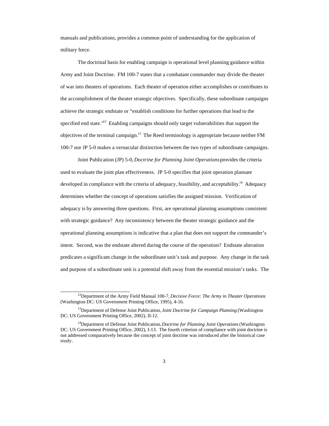manuals and publications, provides a common point of understanding for the application of military force.

The doctrinal basis for enabling campaign is operational level planning guidance within Army and Joint Doctrine. FM 100-7 states that a combatant commander may divide the theater of war into theaters of operations. Each theater of operation either accomplishes or contributes to the accomplishment of the theater strategic objectives. Specifically, these subordinate campaigns achieve the strategic endstate or "establish conditions for further operations that lead to the specified end state."<sup>12</sup> Enabling campaigns should only target vulnerabilities that support the objectives of the terminal campaign.<sup>13</sup> The Reed terminology is appropriate because neither FM 100-7 nor JP 5-0 makes a vernacular distinction between the two types of subordinate campaigns.

Joint Publication (JP) 5-0, *Doctrine for Planning Joint Operations* provides the criteria used to evaluate the joint plan effectiveness. JP 5-0 specifies that joint operation plans are developed in compliance with the criteria of adequacy, feasibility, and acceptability.<sup>14</sup> Adequacy determines whether the concept of operations satisfies the assigned mission. Verification of adequacy is by answering three questions. First, are operational planning assumptions consistent with strategic guidance? Any inconsistency between the theater strategic guidance and the operational planning assumptions is indicative that a plan that does not support the commander's intent. Second, was the endstate altered during the course of the operation? Endstate alteration predicates a significant change in the subordinate unit's task and purpose. Any change in the task and purpose of a subordinate unit is a potential shift away from the essential mission's tasks. The

<sup>12</sup>Department of the Army Field Manual 100-7, *Decisive Force: The Army in Theater Operations* (Washington DC: US Government Printing Office, 1995), 4-16.

<sup>13</sup>Department of Defense Joint Publication, *Joint Doctrine for Campaign Planning* (Washington DC: US Government Printing Office, 2002), II-12.

<sup>14</sup>Department of Defense Joint Publication, *Doctrine for Planning Joint Operations* (Washington DC: US Government Printing Office, 2002), I-13. The fourth criterion of compliance with joint doctrine is not addressed comparatively because the concept of joint doctrine was introduced after the historical case study.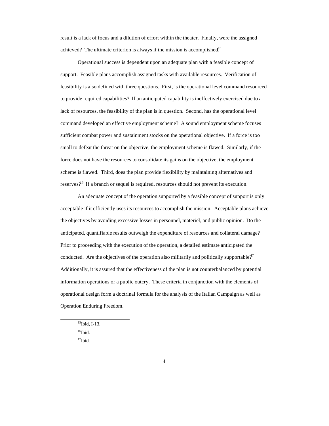result is a lack of focus and a dilution of effort within the theater. Finally, were the assigned achieved? The ultimate criterion is always if the mission is accomplished.<sup>15</sup>

Operational success is dependent upon an adequate plan with a feasible concept of support. Feasible plans accomplish assigned tasks with available resources. Verification of feasibility is also defined with three questions. First, is the operational level command resourced to provide required capabilities? If an anticipated capability is ineffectively exercised due to a lack of resources, the feasibility of the plan is in question. Second, has the operational level command developed an effective employment scheme? A sound employment scheme focuses sufficient combat power and sustainment stocks on the operational objective. If a force is too small to defeat the threat on the objective, the employment scheme is flawed. Similarly, if the force does not have the resources to consolidate its gains on the objective, the employment scheme is flawed. Third, does the plan provide flexibility by maintaining alternatives and reserves?<sup>46</sup> If a branch or sequel is required, resources should not prevent its execution.

An adequate concept of the operation supported by a feasible concept of support is only acceptable if it efficiently uses its resources to accomplish the mission. Acceptable plans achieve the objectives by avoiding excessive losses in personnel, materiel, and public opinion. Do the anticipated, quantifiable results outweigh the expenditure of resources and collateral damage? Prior to proceeding with the execution of the operation, a detailed estimate anticipated the conducted. Are the objectives of the operation also militarily and politically supportable?<sup>7</sup> Additionally, it is assured that the effectiveness of the plan is not counterbalanced by potential information operations or a public outcry. These criteria in conjunction with the elements of operational design form a doctrinal formula for the analysis of the Italian Campaign as well as Operation Enduring Freedom.

<sup>15</sup>Ibid, I-13.

 $16$ Ibid.

 $17$ Ibid.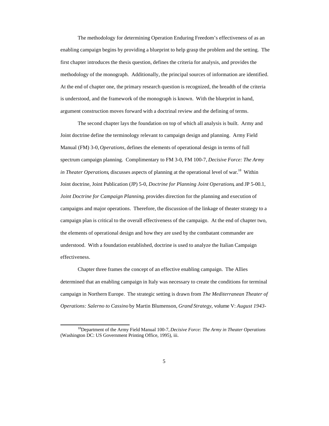The methodology for determining Operation Enduring Freedom's effectiveness of as an enabling campaign begins by providing a blueprint to help grasp the problem and the setting. The first chapter introduces the thesis question, defines the criteria for analysis, and provides the methodology of the monograph. Additionally, the principal sources of information are identified. At the end of chapter one, the primary research question is recognized, the breadth of the criteria is understood, and the framework of the monograph is known. With the blueprint in hand, argument construction moves forward with a doctrinal review and the defining of terms.

The second chapter lays the foundation on top of which all analysis is built. Army and Joint doctrine define the terminology relevant to campaign design and planning. Army Field Manual (FM) 3-0, *Operations,* defines the elements of operational design in terms of full spectrum campaign planning. Complimentary to FM 3-0, FM 100-7, *Decisive Force: The Army in Theater Operations*, discusses aspects of planning at the operational level of war.<sup>18</sup> Within Joint doctrine, Joint Publication (JP) 5-0, *Doctrine for Planning Joint Operations*, and JP 5-00.1, *Joint Doctrine for Campaign Planning*, provides direction for the planning and execution of campaigns and major operations. Therefore, the discussion of the linkage of theater strategy to a campaign plan is critical to the overall effectiveness of the campaign. At the end of chapter two, the elements of operational design and how they are used by the combatant commander are understood. With a foundation established, doctrine is used to analyze the Italian Campaign effectiveness.

Chapter three frames the concept of an effective enabling campaign. The Allies determined that an enabling campaign in Italy was necessary to create the conditions for terminal campaign in Northern Europe. The strategic setting is drawn from *The Mediterranean Theater of Operations: Salerno to Cassino* by Martin Blumenson, *Grand Strategy*, volume V: *August 1943-*

<sup>18</sup>Department of the Army Field Manual 100-7, *Decisive Force: The Army in Theater Operations* (Washington DC: US Government Printing Office, 1995), iii.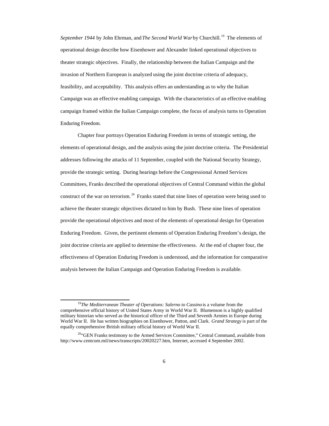*September 1944* by John Ehrman, and *The Second World War* by Churchill.<sup>19</sup> The elements of operational design describe how Eisenhower and Alexander linked operational objectives to theater strategic objectives. Finally, the relationship between the Italian Campaign and the invasion of Northern European is analyzed using the joint doctrine criteria of adequacy, feasibility, and acceptability. This analysis offers an understanding as to why the Italian Campaign was an effective enabling campaign. With the characteristics of an effective enabling campaign framed within the Italian Campaign complete, the focus of analysis turns to Operation Enduring Freedom.

Chapter four portrays Operation Enduring Freedom in terms of strategic setting, the elements of operational design, and the analysis using the joint doctrine criteria. The Presidential addresses following the attacks of 11 September, coupled with the National Security Strategy, provide the strategic setting. During hearings before the Congressional Armed Services Committees, Franks described the operational objectives of Central Command within the global construct of the war on terrorism.<sup>20</sup> Franks stated that nine lines of operation were being used to achieve the theater strategic objectives dictated to him by Bush. These nine lines of operation provide the operational objectives and most of the elements of operational design for Operation Enduring Freedom. Given, the pertinent elements of Operation Enduring Freedom's design, the joint doctrine criteria are applied to determine the effectiveness. At the end of chapter four, the effectiveness of Operation Enduring Freedom is understood, and the information for comparative analysis between the Italian Campaign and Operation Enduring Freedom is available.

<sup>&</sup>lt;sup>19</sup>The Mediterranean Theater of Operations: Salerno to Cassino is a volume from the comprehensive official history of United States Army in World War II. Blumenson is a highly qualified military historian who served as the historical officer of the Third and Seventh Armies in Europe during World War II. He has written biographies on Eisenhower, Patton, and Clark. *Grand Strategy* is part of the equally comprehensive British military official history of World War II.

<sup>&</sup>lt;sup>20</sup>"GEN Franks testimony to the Armed Services Committee," Central Command, available from http://www.centcom.mil/news/transcripts/20020227.htm, Internet, accessed 4 September 2002.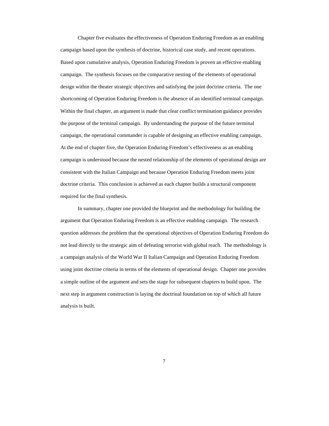Chapter five evaluates the effectiveness of Operation Enduring Freedom as an enabling campaign based upon the synthesis of doctrine, historical case study, and recent operations. Based upon cumulative analysis, Operation Enduring Freedom is proven an effective enabling campaign. The synthesis focuses on the comparative nesting of the elements of operational design within the theater strategic objectives and satisfying the joint doctrine criteria. The one shortcoming of Operation Enduring Freedom is the absence of an identified terminal campaign. Within the final chapter, an argument is made that clear conflict termination guidance provides the purpose of the terminal campaign. By understanding the purpose of the future terminal campaign, the operational commander is capable of designing an effective enabling campaign. At the end of chapter five, the Operation Enduring Freedom's effectiveness as an enabling campaign is understood because the nested relationship of the elements of operational design are consistent with the Italian Campaign and because Operation Enduring Freedom meets joint doctrine criteria. This conclusion is achieved as each chapter builds a structural component required for the final synthesis.

In summary, chapter one provided the blueprint and the methodology for building the argument that Operation Enduring Freedom is an effective enabling campaign. The research question addresses the problem that the operational objectives of Operation Enduring Freedom do not lead directly to the strategic aim of defeating terrorist with global reach. The methodology is a campaign analysis of the World War II Italian Campaign and Operation Enduring Freedom using joint doctrine criteria in terms of the elements of operational design. Chapter one provides a simple outline of the argument and sets the stage for subsequent chapters to build upon. The next step in argument construction is laying the doctrinal foundation on top of which all future analysis is built.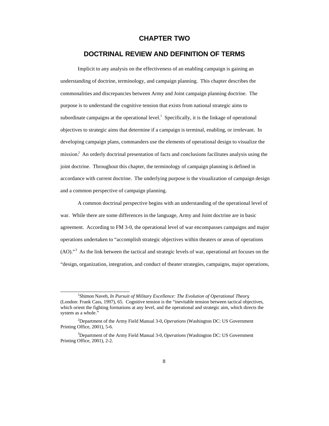#### **CHAPTER TWO**

#### **DOCTRINAL REVIEW AND DEFINITION OF TERMS**

Implicit to any analysis on the effectiveness of an enabling campaign is gaining an understanding of doctrine, terminology, and campaign planning. This chapter describes the commonalities and discrepancies between Army and Joint campaign planning doctrine. The purpose is to understand the cognitive tension that exists from national strategic aims to subordinate campaigns at the operational level.<sup>1</sup> Specifically, it is the linkage of operational objectives to strategic aims that determine if a campaign is terminal, enabling, or irrelevant. In developing campaign plans, commanders use the elements of operational design to visualize the mission.<sup>2</sup> An orderly doctrinal presentation of facts and conclusions facilitates analysis using the joint doctrine. Throughout this chapter, the terminology of campaign planning is defined in accordance with current doctrine. The underlying purpose is the visualization of campaign design and a common perspective of campaign planning.

A common doctrinal perspective begins with an understanding of the operational level of war. While there are some differences in the language, Army and Joint doctrine are in basic agreement. According to FM 3-0, the operational level of war encompasses campaigns and major operations undertaken to "accomplish strategic objectives within theaters or areas of operations (AO)."<sup>3</sup> As the link between the tactical and strategic levels of war, operational art focuses on the "design, organization, integration, and conduct of theater strategies, campaigns, major operations,

 $\overline{a}$ <sup>1</sup>Shimon Naveh, *In Pursuit of Military Excellence: The Evolution of Operational Theory*, (London: Frank Cass, 1997), 65. Cognitive tension is the "inevitable tension between tactical objectives, which orient the fighting formations at any level, and the operational and strategic aim, which directs the system as a whole."

<sup>2</sup>Department of the Army Field Manual 3-0, *Operations* (Washington DC: US Government Printing Office, 2001), 5-6.

<sup>3</sup>Department of the Army Field Manual 3-0, *Operations* (Washington DC: US Government Printing Office, 2001), 2-2.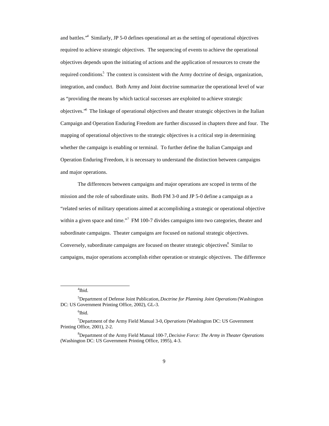and battles."<sup>4</sup> Similarly, JP 5-0 defines operational art as the setting of operational objectives required to achieve strategic objectives. The sequencing of events to achieve the operational objectives depends upon the initiating of actions and the application of resources to create the required conditions.<sup>5</sup> The context is consistent with the Army doctrine of design, organization, integration, and conduct. Both Army and Joint doctrine summarize the operational level of war as "providing the means by which tactical successes are exploited to achieve strategic objectives."<sup>6</sup> The linkage of operational objectives and theater strategic objectives in the Italian Campaign and Operation Enduring Freedom are further discussed in chapters three and four. The mapping of operational objectives to the strategic objectives is a critical step in determining whether the campaign is enabling or terminal. To further define the Italian Campaign and Operation Enduring Freedom, it is necessary to understand the distinction between campaigns and major operations.

The differences between campaigns and major operations are scoped in terms of the mission and the role of subordinate units. Both FM 3-0 and JP 5-0 define a campaign as a "related series of military operations aimed at accomplishing a strategic or operational objective within a given space and time."<sup>7</sup> FM 100-7 divides campaigns into two categories, theater and subordinate campaigns. Theater campaigns are focused on national strategic objectives. Conversely, subordinate campaigns are focused on theater strategic objectives. Similar to campaigns, major operations accomplish either operation or strategic objectives. The difference

4 Ibid.

<sup>5</sup>Department of Defense Joint Publication, *Doctrine for Planning Joint Operations* (Washington DC: US Government Printing Office, 2002), GL-3.

<sup>6</sup> Ibid.

<sup>7</sup>Department of the Army Field Manual 3-0, *Operations* (Washington DC: US Government Printing Office, 2001), 2-2.

<sup>8</sup>Department of the Army Field Manual 100-7, *Decisive Force: The Army in Theater Operations* (Washington DC: US Government Printing Office, 1995), 4-3.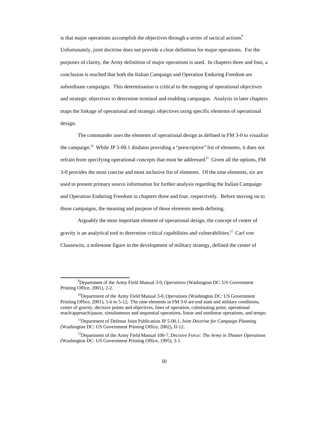is that major operations accomplish the objectives through a series of tactical actions.<sup>9</sup> Unfortunately, joint doctrine does not provide a clear definition for major operations. For the purposes of clarity, the Army definition of major operations is used. In chapters three and four, a conclusion is reached that both the Italian Campaign and Operation Enduring Freedom are subordinate campaigns. This determination is critical to the mapping of operational objectives and strategic objectives to determine terminal and enabling campaigns. Analysis in later chapters maps the linkage of operational and strategic objectives using specific elements of operational design.

The commander uses the elements of operational design as defined in FM 3-0 to visualize the campaign.<sup>10</sup> While JP 5-00.1 disdains providing a "prescriptive" list of elements, it does not refrain from specifying operational concepts that must be addressed.<sup>11</sup> Given all the options, FM 3-0 provides the most concise and most inclusive list of elements. Of the nine elements, six are used to present primary source information for further analysis regarding the Italian Campaign and Operation Enduring Freedom in chapters three and four, respectively. Before moving on to those campaigns, the meaning and purpose of those elements needs defining.

Arguably the most important element of operational design, the concept of center of gravity is an analytical tool to determine critical capabilities and vulnerabilities.<sup>12</sup> Carl von Clausewitz, a milestone figure in the development of military strategy, defined the center of

<sup>9</sup>Department of the Army Field Manual 3-0, *Operations* (Washington DC: US Government Printing Office, 2001), 2-2.

<sup>&</sup>lt;sup>10</sup>Department of the Army Field Manual 3-0, *Operations* (Washington DC: US Government Printing Office, 2001), 5-6 to 5-12**.** The nine elements in FM 3-0 are end state and military conditions, center of gravity, decisive points and objectives, lines of operation, culminating point, operational reach/approach/pause, simultaneous and sequential operations, linear and nonlinear operations, and tempo.

<sup>11</sup>Department of Defense Joint Publication JP 5-00.1, *Joint Doctrine for Campaign Planning* (Washington DC: US Government Printing Office, 2002), II-12.

<sup>&</sup>lt;sup>12</sup>Department of the Army Field Manual 100-7, *Decisive Force: The Army in Theater Operations* (Washington DC: US Government Printing Office, 1995), 3-1.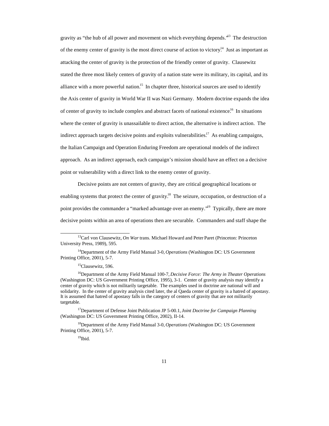gravity as "the hub of all power and movement on which everything depends. $13$  The destruction of the enemy center of gravity is the most direct course of action to victory.<sup>14</sup> Just as important as attacking the center of gravity is the protection of the friendly center of gravity. Clausewitz stated the three most likely centers of gravity of a nation state were its military, its capital, and its alliance with a more powerful nation.<sup>15</sup> In chapter three, historical sources are used to identify the Axis center of gravity in World War II was Nazi Germany. Modern doctrine expands the idea of center of gravity to include complex and abstract facets of national existence.<sup>16</sup> In situations where the center of gravity is unassailable to direct action, the alternative is indirect action. The indirect approach targets decisive points and exploits vulnerabilities.<sup>17</sup> As enabling campaigns, the Italian Campaign and Operation Enduring Freedom are operational models of the indirect approach. As an indirect approach, each campaign's mission should have an effect on a decisive point or vulnerability with a direct link to the enemy center of gravity.

Decisive points are not centers of gravity, they are critical geographical locations or enabling systems that protect the center of gravity.<sup>18</sup> The seizure, occupation, or destruction of a point provides the commander a "marked advantage over an enemy."<sup>19</sup> Typically, there are more decisive points within an area of operations then are securable. Commanders and staff shape the

 $\overline{a}$ 

<sup>17</sup>Department of Defense Joint Publication JP 5-00.1, *Joint Doctrine for Campaign Planning* (Washington DC: US Government Printing Office, 2002), II-14.

<sup>18</sup>Department of the Army Field Manual 3-0, *Operations* (Washington DC: US Government Printing Office, 2001), 5-7.

 $19$ Ibid.

<sup>13</sup>Carl von Clausewitz, *On War* trans. Michael Howard and Peter Paret (Princeton: Princeton University Press, 1989), 595.

<sup>14</sup>Department of the Army Field Manual 3-0, *Operations* (Washington DC: US Government Printing Office, 2001), 5-7.

<sup>&</sup>lt;sup>15</sup>Clausewitz, 596.

<sup>&</sup>lt;sup>16</sup>Department of the Army Field Manual 100-7, *Decisive Force: The Army in Theater Operations* (Washington DC: US Government Printing Office, 1995), 3-1. Center of gravity analysis may identify a center of gravity which is not militarily targetable. The examples used in doctrine are national will and solidarity. In the center of gravity analysis cited later, the al Qaeda center of gravity is a hatred of apostasy. It is assumed that hatred of apostasy falls in the category of centers of gravity that are not militarily targetable.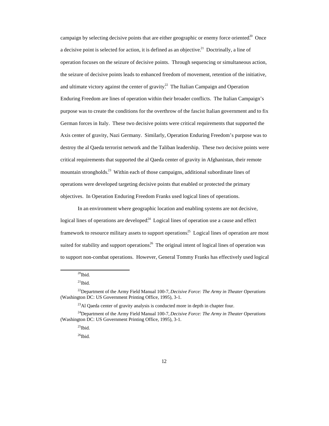campaign by selecting decisive points that are either geographic or enemy force oriented.<sup>20</sup> Once a decisive point is selected for action, it is defined as an objective.<sup>21</sup> Doctrinally, a line of operation focuses on the seizure of decisive points. Through sequencing or simultaneous action, the seizure of decisive points leads to enhanced freedom of movement, retention of the initiative, and ultimate victory against the center of gravity.<sup>22</sup> The Italian Campaign and Operation Enduring Freedom are lines of operation within their broader conflicts. The Italian Campaign's purpose was to create the conditions for the overthrow of the fascist Italian government and to fix German forces in Italy. These two decisive points were critical requirements that supported the Axis center of gravity, Nazi Germany. Similarly, Operation Enduring Freedom's purpose was to destroy the al Qaeda terrorist network and the Taliban leadership. These two decisive points were critical requirements that supported the al Qaeda center of gravity in Afghanistan, their remote mountain strongholds.<sup>23</sup> Within each of those campaigns, additional subordinate lines of operations were developed targeting decisive points that enabled or protected the primary objectives. In Operation Enduring Freedom Franks used logical lines of operations.

In an environment where geographic location and enabling systems are not decisive, logical lines of operations are developed.<sup>24</sup> Logical lines of operation use a cause and effect framework to resource military assets to support operations.<sup>25</sup> Logical lines of operation are most suited for stability and support operations.<sup>26</sup> The original intent of logical lines of operation was to support non-combat operations. However, General Tommy Franks has effectively used logical

 $20$ Ibid.

 $^{21}$ Ibid.

<sup>22</sup>Department of the Army Field Manual 100-7, *Decisive Force: The Army in Theater Operations* (Washington DC: US Government Printing Office, 1995), 3-1.

 $^{23}$ Al Qaeda center of gravity analysis is conducted more in depth in chapter four.

<sup>24</sup>Department of the Army Field Manual 100-7, *Decisive Force: The Army in Theater Operations* (Washington DC: US Government Printing Office, 1995), 3-1.

 $25$ Ibid.

 $^{26}$ Ibid.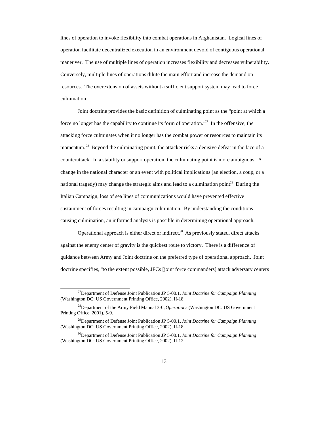lines of operation to invoke flexibility into combat operations in Afghanistan. Logical lines of operation facilitate decentralized execution in an environment devoid of contiguous operational maneuver. The use of multiple lines of operation increases flexibility and decreases vulnerability. Conversely, multiple lines of operations dilute the main effort and increase the demand on resources. The overextension of assets without a sufficient support system may lead to force culmination.

Joint doctrine provides the basic definition of culminating point as the "point at which a force no longer has the capability to continue its form of operation.<sup>27</sup> In the offensive, the attacking force culminates when it no longer has the combat power or resources to maintain its momentum.<sup>28</sup> Beyond the culminating point, the attacker risks a decisive defeat in the face of a counterattack. In a stability or support operation, the culminating point is more ambiguous. A change in the national character or an event with political implications (an election, a coup, or a national tragedy) may change the strategic aims and lead to a culmination point.<sup>29</sup> During the Italian Campaign, loss of sea lines of communications would have prevented effective sustainment of forces resulting in campaign culmination. By understanding the conditions causing culmination, an informed analysis is possible in determining operational approach.

Operational approach is either direct or indirect. $30$  As previously stated, direct attacks against the enemy center of gravity is the quickest route to victory. There is a difference of guidance between Army and Joint doctrine on the preferred type of operational approach. Joint doctrine specifies, "to the extent possible, JFCs [joint force commanders] attack adversary centers

<sup>27</sup>Department of Defense Joint Publication JP 5-00.1, *Joint Doctrine for Campaign Planning* (Washington DC: US Government Printing Office, 2002), II-18.

<sup>28</sup>Department of the Army Field Manual 3-0, *Operations* (Washington DC: US Government Printing Office, 2001), 5-9.

<sup>29</sup>Department of Defense Joint Publication JP 5-00.1, *Joint Doctrine for Campaign Planning* (Washington DC: US Government Printing Office, 2002), II-18.

<sup>30</sup>Department of Defense Joint Publication JP 5-00.1, *Joint Doctrine for Campaign Planning* (Washington DC: US Government Printing Office, 2002), II-12.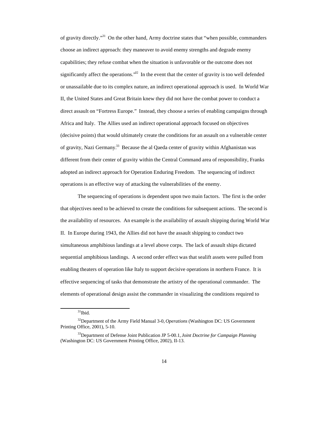of gravity directly."<sup>31</sup> On the other hand, Army doctrine states that "when possible, commanders choose an indirect approach: they maneuver to avoid enemy strengths and degrade enemy capabilities; they refuse combat when the situation is unfavorable or the outcome does not significantly affect the operations. $32 \text{ In the event that the center of gravity is too well defined}$ or unassailable due to its complex nature, an indirect operational approach is used. In World War II, the United States and Great Britain knew they did not have the combat power to conduct a direct assault on "Fortress Europe." Instead, they choose a series of enabling campaigns through Africa and Italy. The Allies used an indirect operational approach focused on objectives (decisive points) that would ultimately create the conditions for an assault on a vulnerable center of gravity, Nazi Germany.<sup>33</sup> Because the al Qaeda center of gravity within Afghanistan was different from their center of gravity within the Central Command area of responsibility, Franks adopted an indirect approach for Operation Enduring Freedom. The sequencing of indirect operations is an effective way of attacking the vulnerabilities of the enemy.

The sequencing of operations is dependent upon two main factors. The first is the order that objectives need to be achieved to create the conditions for subsequent actions. The second is the availability of resources. An example is the availability of assault shipping during World War II. In Europe during 1943, the Allies did not have the assault shipping to conduct two simultaneous amphibious landings at a level above corps. The lack of assault ships dictated sequential amphibious landings. A second order effect was that sealift assets were pulled from enabling theaters of operation like Italy to support decisive operations in northern France. It is effective sequencing of tasks that demonstrate the artistry of the operational commander. The elements of operational design assist the commander in visualizing the conditions required to

 $31$ Ibid.

<sup>32</sup>Department of the Army Field Manual 3-0, *Operations* (Washington DC: US Government Printing Office, 2001), 5-10.

<sup>33</sup>Department of Defense Joint Publication JP 5-00.1, *Joint Doctrine for Campaign Planning* (Washington DC: US Government Printing Office, 2002), II-13.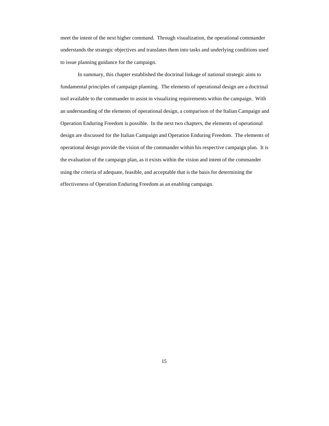meet the intent of the next higher command. Through visualization, the operational commander understands the strategic objectives and translates them into tasks and underlying conditions used to issue planning guidance for the campaign.

In summary, this chapter established the doctrinal linkage of national strategic aims to fundamental principles of campaign planning. The elements of operational design are a doctrinal tool available to the commander to assist in visualizing requirements within the campaign. With an understanding of the elements of operational design, a comparison of the Italian Campaign and Operation Enduring Freedom is possible. In the next two chapters, the elements of operational design are discussed for the Italian Campaign and Operation Enduring Freedom. The elements of operational design provide the vision of the commander within his respective campaign plan. It is the evaluation of the campaign plan, as it exists within the vision and intent of the commander using the criteria of adequate, feasible, and acceptable that is the basis for determining the effectiveness of Operation Enduring Freedom as an enabling campaign.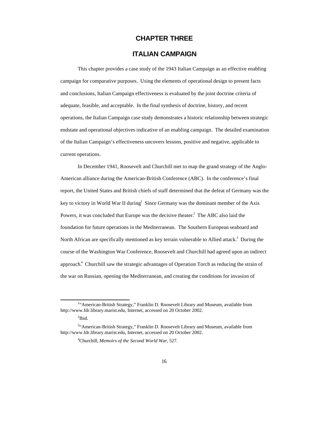#### **CHAPTER THREE**

#### **ITALIAN CAMPAIGN**

This chapter provides a case study of the 1943 Italian Campaign as an effective enabling campaign for comparative purposes. Using the elements of operational design to present facts and conclusions, Italian Campaign effectiveness is evaluated by the joint doctrine criteria of adequate, feasible, and acceptable. In the final synthesis of doctrine, history, and recent operations, the Italian Campaign case study demonstrates a historic relationship between strategic endstate and operational objectives indicative of an enabling campaign. The detailed examination of the Italian Campaign's effectiveness uncovers lessons, positive and negative, applicable to current operations.

In December 1941, Roosevelt and Churchill met to map the grand strategy of the Anglo-American alliance during the American-British Conference (ABC). In the conference's final report, the United States and British chiefs of staff determined that the defeat of Germany was the key to victory in World War II during<sup>1</sup> Since Germany was the dominant member of the Axis Powers, it was concluded that Europe was the decisive theater.<sup>2</sup> The ABC also laid the foundation for future operations in the Mediterranean. The Southern European seaboard and North African are specifically mentioned as key terrain vulnerable to Allied attack.<sup>3</sup> During the course of the Washington War Conference, Roosevelt and Churchill had agreed upon an indirect approach.<sup>4</sup> Churchill saw the strategic advantages of Operation Torch as reducing the strain of the war on Russian, opening the Mediterranean, and creating the conditions for invasion of

<sup>&</sup>lt;sup>1</sup>"American-British Strategy," Franklin D. Roosevelt Library and Museum, available from http://www.fdr.library.marist.edu, Internet, accessed on 20 October 2002.

 $2$ Ibid.

<sup>&</sup>lt;sup>3</sup>"American-British Strategy," Franklin D. Roosevelt Library and Museum, available from http://www.fdr.library.marist.edu, Internet, accessed on 20 October 2002.

<sup>4</sup>Churchill, *Memoirs of the Second World War*, 527.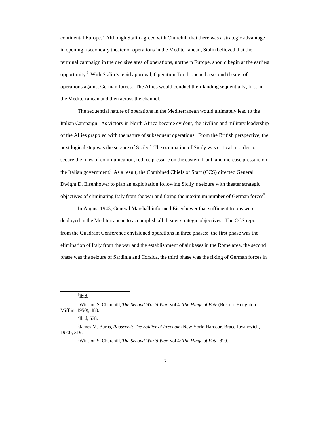continental Europe.<sup>5</sup> Although Stalin agreed with Churchill that there was a strategic advantage in opening a secondary theater of operations in the Mediterranean, Stalin believed that the terminal campaign in the decisive area of operations, northern Europe, should begin at the earliest opportunity.<sup>6</sup> With Stalin's tepid approval, Operation Torch opened a second theater of operations against German forces. The Allies would conduct their landing sequentially, first in the Mediterranean and then across the channel.

The sequential nature of operations in the Mediterranean would ultimately lead to the Italian Campaign. As victory in North Africa became evident, the civilian and military leadership of the Allies grappled with the nature of subsequent operations. From the British perspective, the next logical step was the seizure of Sicily.<sup>7</sup> The occupation of Sicily was critical in order to secure the lines of communication, reduce pressure on the eastern front, and increase pressure on the Italian government.<sup>8</sup> As a result, the Combined Chiefs of Staff (CCS) directed General Dwight D. Eisenhower to plan an exploitation following Sicily's seizure with theater strategic objectives of eliminating Italy from the war and fixing the maximum number of German forces.<sup>9</sup>

In August 1943, General Marshall informed Eisenhower that sufficient troops were deployed in the Mediterranean to accomplish all theater strategic objectives. The CCS report from the Quadrant Conference envisioned operations in three phases: the first phase was the elimination of Italy from the war and the establishment of air bases in the Rome area, the second phase was the seizure of Sardinia and Corsica, the third phase was the fixing of German forces in

5 Ibid.

<sup>6</sup>Winston S. Churchill, *The Second World War*, vol 4: *The Hinge of Fate* (Boston: Houghton Mifflin, 1950), 480.

 $7$ Ibid, 678.

<sup>8</sup> James M. Burns, *Roosevelt: The Soldier of Freedom* (New York: Harcourt Brace Jovanovich, 1970), 319.

<sup>9</sup>Winston S. Churchill, *The Second World War*, vol 4: *The Hinge of Fate*, 810.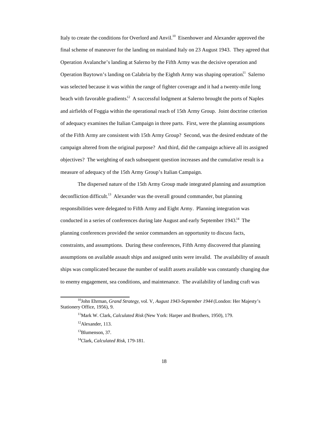Italy to create the conditions for Overlord and Anvil.<sup>10</sup> Eisenhower and Alexander approved the final scheme of maneuver for the landing on mainland Italy on 23 August 1943. They agreed that Operation Avalanche's landing at Salerno by the Fifth Army was the decisive operation and Operation Baytown's landing on Calabria by the Eighth Army was shaping operation.<sup>11</sup> Salerno was selected because it was within the range of fighter coverage and it had a twenty-mile long beach with favorable gradients.<sup>12</sup> A successful lodgment at Salerno brought the ports of Naples and airfields of Foggia within the operational reach of 15th Army Group. Joint doctrine criterion of adequacy examines the Italian Campaign in three parts. First, were the planning assumptions of the Fifth Army are consistent with 15th Army Group? Second, was the desired endstate of the campaign altered from the original purpose? And third, did the campaign achieve all its assigned objectives? The weighting of each subsequent question increases and the cumulative result is a measure of adequacy of the 15th Army Group's Italian Campaign.

The dispersed nature of the 15th Army Group made integrated planning and assumption  $deconflication$  difficult.<sup>13</sup> Alexander was the overall ground commander, but planning responsibilities were delegated to Fifth Army and Eight Army. Planning integration was conducted in a series of conferences during late August and early September 1943.<sup>14</sup> The planning conferences provided the senior commanders an opportunity to discuss facts, constraints, and assumptions. During these conferences, Fifth Army discovered that planning assumptions on available assault ships and assigned units were invalid. The availability of assault ships was complicated because the number of sealift assets available was constantly changing due to enemy engagement, sea conditions, and maintenance. The availability of landing craft was

 $\overline{a}$ <sup>10</sup>John Ehrman, *Grand Strategy*, vol. V, *August 1943-September 1944* (London: Her Majesty's Stationery Office, 1956), 9.

<sup>11</sup>Mark W. Clark, *Calculated Risk* (New York: Harper and Brothers, 1950), 179.

<sup>12</sup>Alexander, 113.

<sup>&</sup>lt;sup>13</sup>Blumenson, 37.

<sup>14</sup>Clark, *Calculated Risk*, 179-181.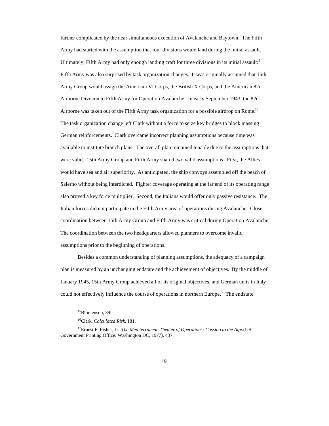further complicated by the near simultaneous execution of Avalanche and Baytown. The Fifth Army had started with the assumption that four divisions would land during the initial assault. Ultimately, Fifth Army had only enough landing craft for three divisions in its initial assault.<sup>15</sup> Fifth Army was also surprised by task organization changes. It was originally assumed that 15th Army Group would assign the American VI Corps, the British X Corps, and the American 82d Airborne Division to Fifth Army for Operation Avalanche. In early September 1943, the 82d Airborne was taken out of the Fifth Army task organization for a possible airdrop on Rome.<sup>16</sup> The task organization change left Clark without a force to seize key bridges to block massing German reinforcements. Clark overcame incorrect planning assumptions because time was available to institute branch plans. The overall plan remained tenable due to the assumptions that were valid. 15th Army Group and Fifth Army shared two valid assumptions. First, the Allies would have sea and air superiority. As anticipated, the ship convoys assembled off the beach of Salerno without being interdicted. Fighter coverage operating at the far end of its operating range also proved a key force multiplier. Second, the Italians would offer only passive resistance. The Italian forces did not participate in the Fifth Army area of operations during Avalanche. Close coordination between 15th Army Group and Fifth Army was critical during Operation Avalanche. The coordination between the two headquarters allowed planners to overcome invalid assumptions prior to the beginning of operations.

Besides a common understanding of planning assumptions, the adequacy of a campaign plan is measured by an unchanging endstate and the achievement of objectives. By the middle of January 1945, 15th Army Group achieved all of its original objectives, and German units in Italy could not effectively influence the course of operations in northern Europe.<sup>17</sup> The endstate

<sup>&</sup>lt;sup>15</sup>Blumenson, 39.

<sup>16</sup>Clark, *Calculated Risk*, 181.

<sup>&</sup>lt;sup>17</sup>Ernest F. Fisher, Jr., *The Mediterranean Theater of Operations: Cassino to the Alps* (US Government Printing Office: Washington DC, 1977), 437.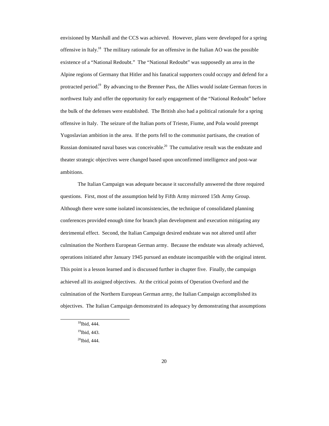envisioned by Marshall and the CCS was achieved. However, plans were developed for a spring offensive in Italy.<sup>18</sup> The military rationale for an offensive in the Italian AO was the possible existence of a "National Redoubt." The "National Redoubt" was supposedly an area in the Alpine regions of Germany that Hitler and his fanatical supporters could occupy and defend for a protracted period.<sup>19</sup> By advancing to the Brenner Pass, the Allies would isolate German forces in northwest Italy and offer the opportunity for early engagement of the "National Redoubt" before the bulk of the defenses were established. The British also had a political rationale for a spring offensive in Italy. The seizure of the Italian ports of Trieste, Fiume, and Pola would preempt Yugoslavian ambition in the area. If the ports fell to the communist partisans, the creation of Russian dominated naval bases was conceivable.<sup>20</sup> The cumulative result was the endstate and theater strategic objectives were changed based upon unconfirmed intelligence and post-war ambitions.

The Italian Campaign was adequate because it successfully answered the three required questions. First, most of the assumption held by Fifth Army mirrored 15th Army Group. Although there were some isolated inconsistencies, the technique of consolidated planning conferences provided enough time for branch plan development and execution mitigating any detrimental effect. Second, the Italian Campaign desired endstate was not altered until after culmination the Northern European German army. Because the endstate was already achieved, operations initiated after January 1945 pursued an endstate incompatible with the original intent. This point is a lesson learned and is discussed further in chapter five. Finally, the campaign achieved all its assigned objectives. At the critical points of Operation Overlord and the culmination of the Northern European German army, the Italian Campaign accomplished its objectives. The Italian Campaign demonstrated its adequacy by demonstrating that assumptions

<sup>18</sup>Ibid, 444.

<sup>&</sup>lt;sup>19</sup>Ibid, 443.

<sup>20</sup>Ibid, 444.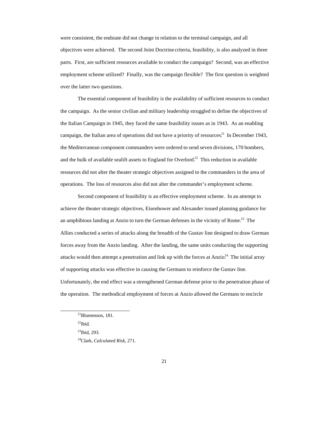were consistent, the endstate did not change in relation to the terminal campaign, and all objectives were achieved. The second Joint Doctrine criteria, feasibility, is also analyzed in three parts. First, are sufficient resources available to conduct the campaign? Second, was an effective employment scheme utilized? Finally, was the campaign flexible? The first question is weighted over the latter two questions.

The essential component of feasibility is the availability of sufficient resources to conduct the campaign. As the senior civilian and military leadership struggled to define the objectives of the Italian Campaign in 1945, they faced the same feasibility issues as in 1943. As an enabling campaign, the Italian area of operations did not have a priority of resources.<sup>21</sup> In December 1943, the Mediterranean component commanders were ordered to send seven divisions, 170 bombers, and the bulk of available sealift assets to England for Overlord.<sup>22</sup> This reduction in available resources did not alter the theater strategic objectives assigned to the commanders in the area of operations. The loss of resources also did not alter the commander's employment scheme.

Second component of feasibility is an effective employment scheme. In an attempt to achieve the theater strategic objectives, Eisenhower and Alexander issued planning guidance for an amphibious landing at Anzio to turn the German defenses in the vicinity of Rome.<sup>23</sup> The Allies conducted a series of attacks along the breadth of the Gustav line designed to draw German forces away from the Anzio landing. After the landing, the same units conducting the supporting attacks would then attempt a penetration and link up with the forces at Anzio.<sup>24</sup> The initial array of supporting attacks was effective in causing the Germans to reinforce the Gustav line. Unfortunately, the end effect was a strengthened German defense prior to the penetration phase of the operation. The methodical employment of forces at Anzio allowed the Germans to encircle

<sup>21</sup>Blumenson, 181.

 $^{22}$ Ibid.

 $^{23}$ Ibid, 293.

<sup>24</sup>Clark, *Calculated Risk*, 271.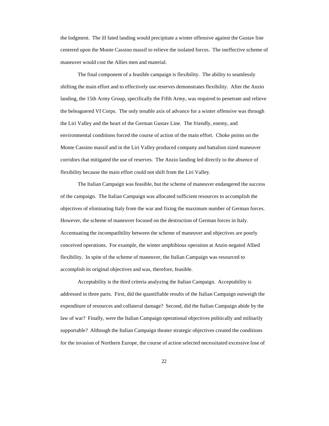the lodgment. The ill fated landing would precipitate a winter offensive against the Gustav line centered upon the Monte Cassino massif to relieve the isolated forces. The ineffective scheme of maneuver would cost the Allies men and material.

The final component of a feasible campaign is flexibility. The ability to seamlessly shifting the main effort and to effectively use reserves demonstrates flexibility. After the Anzio landing, the 15th Army Group, specifically the Fifth Army, was required to penetrate and relieve the beleaguered VI Corps. The only tenable axis of advance for a winter offensive was through the Liri Valley and the heart of the German Gustav Line. The friendly, enemy, and environmental conditions forced the course of action of the main effort. Choke points on the Monte Cassino massif and in the Liri Valley produced company and battalion sized maneuver corridors that mitigated the use of reserves. The Anzio landing led directly to the absence of flexibility because the main effort could not shift from the Liri Valley.

The Italian Campaign was feasible, but the scheme of maneuver endangered the success of the campaign. The Italian Campaign was allocated sufficient resources to accomplish the objectives of eliminating Italy from the war and fixing the maximum number of German forces. However, the scheme of maneuver focused on the destruction of German forces in Italy. Accentuating the incompatibility between the scheme of maneuver and objectives are poorly conceived operations. For example, the winter amphibious operation at Anzio negated Allied flexibility. In spite of the scheme of maneuver, the Italian Campaign was resourced to accomplish its original objectives and was, therefore, feasible.

Acceptability is the third criteria analyzing the Italian Campaign. Acceptability is addressed in three parts. First, did the quantifiable results of the Italian Campaign outweigh the expenditure of resources and collateral damage? Second, did the Italian Campaign abide by the law of war? Finally, were the Italian Campaign operational objectives politically and militarily supportable? Although the Italian Campaign theater strategic objectives created the conditions for the invasion of Northern Europe, the course of action selected necessitated excessive lose of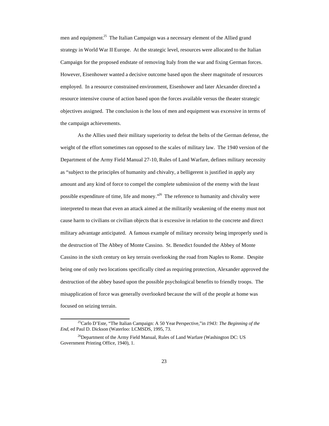men and equipment.<sup>25</sup> The Italian Campaign was a necessary element of the Allied grand strategy in World War II Europe. At the strategic level, resources were allocated to the Italian Campaign for the proposed endstate of removing Italy from the war and fixing German forces. However, Eisenhower wanted a decisive outcome based upon the sheer magnitude of resources employed. In a resource constrained environment, Eisenhower and later Alexander directed a resource intensive course of action based upon the forces available versus the theater strategic objectives assigned. The conclusion is the loss of men and equipment was excessive in terms of the campaign achievements.

As the Allies used their military superiority to defeat the belts of the German defense, the weight of the effort sometimes ran opposed to the scales of military law. The 1940 version of the Department of the Army Field Manual 27-10, Rules of Land Warfare, defines military necessity as "subject to the principles of humanity and chivalry, a belligerent is justified in apply any amount and any kind of force to compel the complete submission of the enemy with the least possible expenditure of time, life and money."<sup>26</sup> The reference to humanity and chivalry were interpreted to mean that even an attack aimed at the militarily weakening of the enemy must not cause harm to civilians or civilian objects that is excessive in relation to the concrete and direct military advantage anticipated. A famous example of military necessity being improperly used is the destruction of The Abbey of Monte Cassino. St. Benedict founded the Abbey of Monte Cassino in the sixth century on key terrain overlooking the road from Naples to Rome. Despite being one of only two locations specifically cited as requiring protection, Alexander approved the destruction of the abbey based upon the possible psychological benefits to friendly troops. The misapplication of force was generally overlooked because the will of the people at home was focused on seizing terrain.

<sup>25</sup>Carlo D'Este, "The Italian Campaign: A 50 Year Perspective,"in *1943: The Beginning of the End*, ed Paul D. Dickson (Waterloo: LCMSDS, 1995, 73.

 $^{26}$ Department of the Army Field Manual, Rules of Land Warfare (Washington DC: US Government Printing Office, 1940), 1.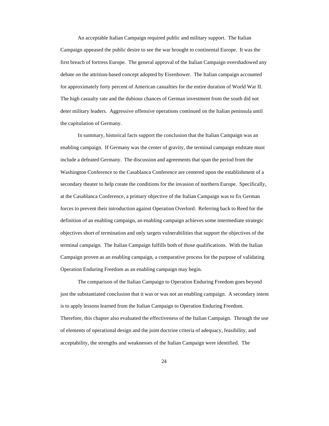An acceptable Italian Campaign required public and military support. The Italian Campaign appeased the public desire to see the war brought to continental Europe. It was the first breach of fortress Europe. The general approval of the Italian Campaign overshadowed any debate on the attrition-based concept adopted by Eisenhower. The Italian campaign accounted for approximately forty percent of American casualties for the entire duration of World War II. The high casualty rate and the dubious chances of German investment from the south did not deter military leaders. Aggressive offensive operations continued on the Italian peninsula until the capitulation of Germany.

In summary, historical facts support the conclusion that the Italian Campaign was an enabling campaign. If Germany was the center of gravity, the terminal campaign endstate must include a defeated Germany. The discussion and agreements that span the period from the Washington Conference to the Casablanca Conference are centered upon the establishment of a secondary theater to help create the conditions for the invasion of northern Europe. Specifically, at the Casablanca Conference, a primary objective of the Italian Campaign was to fix German forces to prevent their introduction against Operation Overlord. Referring back to Reed for the definition of an enabling campaign, an enabling campaign achieves some intermediate strategic objectives short of termination and only targets vulnerabilities that support the objectives of the terminal campaign. The Italian Campaign fulfills both of those qualifications. With the Italian Campaign proven as an enabling campaign, a comparative process for the purpose of validating Operation Enduring Freedom as an enabling campaign may begin.

The comparison of the Italian Campaign to Operation Enduring Freedom goes beyond just the substantiated conclusion that it was or was not an enabling campaign. A secondary intent is to apply lessons learned from the Italian Campaign to Operation Enduring Freedom. Therefore, this chapter also evaluated the effectiveness of the Italian Campaign. Through the use of elements of operational design and the joint doctrine criteria of adequacy, feasibility, and acceptability, the strengths and weaknesses of the Italian Campaign were identified. The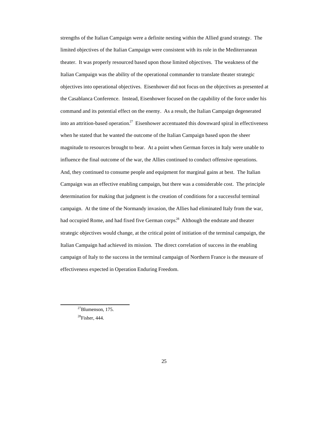strengths of the Italian Campaign were a definite nesting within the Allied grand strategy. The limited objectives of the Italian Campaign were consistent with its role in the Mediterranean theater. It was properly resourced based upon those limited objectives. The weakness of the Italian Campaign was the ability of the operational commander to translate theater strategic objectives into operational objectives. Eisenhower did not focus on the objectives as presented at the Casablanca Conference. Instead, Eisenhower focused on the capability of the force under his command and its potential effect on the enemy. As a result, the Italian Campaign degenerated into an attrition-based operation.<sup>27</sup> Eisenhower accentuated this downward spiral in effectiveness when he stated that he wanted the outcome of the Italian Campaign based upon the sheer magnitude to resources brought to bear. At a point when German forces in Italy were unable to influence the final outcome of the war, the Allies continued to conduct offensive operations. And, they continued to consume people and equipment for marginal gains at best. The Italian Campaign was an effective enabling campaign, but there was a considerable cost. The principle determination for making that judgment is the creation of conditions for a successful terminal campaign. At the time of the Normandy invasion, the Allies had eliminated Italy from the war, had occupied Rome, and had fixed five German corps.<sup>28</sup> Although the endstate and theater strategic objectives would change, at the critical point of initiation of the terminal campaign, the Italian Campaign had achieved its mission. The direct correlation of success in the enabling campaign of Italy to the success in the terminal campaign of Northern France is the measure of effectiveness expected in Operation Enduring Freedom.

<sup>27</sup>Blumenson, 175.

 $28$ Fisher, 444.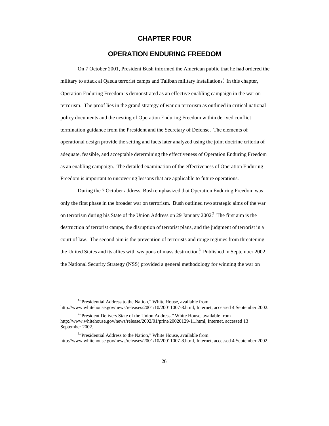#### **CHAPTER FOUR**

#### **OPERATION ENDURING FREEDOM**

On 7 October 2001, President Bush informed the American public that he had ordered the military to attack al Qaeda terrorist camps and Taliban military installations.<sup>1</sup> In this chapter, Operation Enduring Freedom is demonstrated as an effective enabling campaign in the war on terrorism. The proof lies in the grand strategy of war on terrorism as outlined in critical national policy documents and the nesting of Operation Enduring Freedom within derived conflict termination guidance from the President and the Secretary of Defense. The elements of operational design provide the setting and facts later analyzed using the joint doctrine criteria of adequate, feasible, and acceptable determining the effectiveness of Operation Enduring Freedom as an enabling campaign. The detailed examination of the effectiveness of Operation Enduring Freedom is important to uncovering lessons that are applicable to future operations.

During the 7 October address, Bush emphasized that Operation Enduring Freedom was only the first phase in the broader war on terrorism. Bush outlined two strategic aims of the war on terrorism during his State of the Union Address on 29 January 2002.<sup>2</sup> The first aim is the destruction of terrorist camps, the disruption of terrorist plans, and the judgment of terrorist in a court of law. The second aim is the prevention of terrorists and rouge regimes from threatening the United States and its allies with weapons of mass destruction.<sup>3</sup> Published in September 2002, the National Security Strategy (NSS) provided a general methodology for winning the war on

<sup>&</sup>lt;sup>1</sup>"Presidential Address to the Nation," White House, available from http://www.whitehouse.gov/news/releases/2001/10/20011007-8.html, Internet, accessed 4 September 2002.

<sup>&</sup>lt;sup>2</sup><sup>2</sup>President Delivers State of the Union Address," White House, available from http://www.whitehouse.gov/news/release/2002/01/print/20020129-11.html, Internet, accessed 13 September 2002.

<sup>&</sup>lt;sup>3</sup>"Presidential Address to the Nation," White House, available from http://www.whitehouse.gov/news/releases/2001/10/20011007-8.html, Internet, accessed 4 September 2002.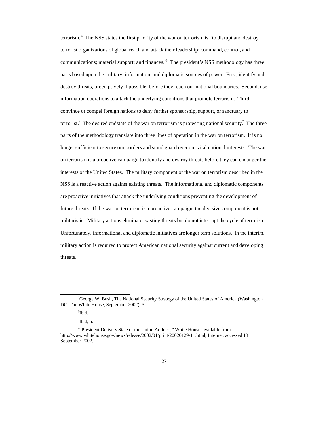terrorism.<sup>4</sup> The NSS states the first priority of the war on terrorism is "to disrupt and destroy terrorist organizations of global reach and attack their leadership: command, control, and communications; material support; and finances.<sup>55</sup> The president's NSS methodology has three parts based upon the military, information, and diplomatic sources of power. First, identify and destroy threats, preemptively if possible, before they reach our national boundaries. Second, use information operations to attack the underlying conditions that promote terrorism. Third, convince or compel foreign nations to deny further sponsorship, support, or sanctuary to terrorist.<sup>6</sup> The desired endstate of the war on terrorism is protecting national security.<sup>7</sup> The three parts of the methodology translate into three lines of operation in the war on terrorism. It is no longer sufficient to secure our borders and stand guard over our vital national interests. The war on terrorism is a proactive campaign to identify and destroy threats before they can endanger the interests of the United States. The military component of the war on terrorism described in the NSS is a reactive action against existing threats. The informational and diplomatic components are proactive initiatives that attack the underlying conditions preventing the development of future threats. If the war on terrorism is a proactive campaign, the decisive component is not militaristic. Military actions eliminate existing threats but do not interrupt the cycle of terrorism. Unfortunately, informational and diplomatic initiatives are longer term solutions. In the interim, military action is required to protect American national security against current and developing threats.

<sup>&</sup>lt;sup>4</sup>George W. Bush, The National Security Strategy of the United States of America (Washington DC: The White House, September 2002), 5.

<sup>5</sup> Ibid.

 $6$ Ibid, 6.

<sup>&</sup>lt;sup>7</sup>"President Delivers State of the Union Address," White House, available from http://www.whitehouse.gov/news/release/2002/01/print/20020129-11.html, Internet, accessed 13 September 2002.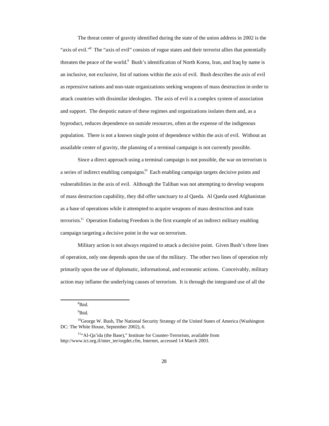The threat center of gravity identified during the state of the union address in 2002 is the "axis of evil."<sup>8</sup> The "axis of evil" consists of rogue states and their terrorist allies that potentially threaten the peace of the world.<sup>9</sup> Bush's identification of North Korea, Iran, and Iraq by name is an inclusive, not exclusive, list of nations within the axis of evil. Bush describes the axis of evil as repressive nations and non-state organizations seeking weapons of mass destruction in order to attack countries with dissimilar ideologies. The axis of evil is a complex system of association and support. The despotic nature of these regimes and organizations isolates them and, as a byproduct, reduces dependence on outside resources, often at the expense of the indigenous population. There is not a known single point of dependence within the axis of evil. Without an assailable center of gravity, the planning of a terminal campaign is not currently possible.

Since a direct approach using a terminal campaign is not possible, the war on terrorism is a series of indirect enabling campaigns.<sup>10</sup> Each enabling campaign targets decisive points and vulnerabilities in the axis of evil. Although the Taliban was not attempting to develop weapons of mass destruction capability, they did offer sanctuary to al Qaeda. Al Qaeda used Afghanistan as a base of operations while it attempted to acquire weapons of mass destruction and train terrorists.<sup>11</sup> Operation Enduring Freedom is the first example of an indirect military enabling campaign targeting a decisive point in the war on terrorism.

Military action is not always required to attack a decisive point. Given Bush's three lines of operation, only one depends upon the use of the military. The other two lines of operation rely primarily upon the use of diplomatic, informational, and economic actions. Conceivably, military action may inflame the underlying causes of terrorism. It is through the integrated use of all the

<sup>8</sup> Ibid.

<sup>&</sup>lt;sup>9</sup>Ibid.

<sup>&</sup>lt;sup>10</sup>George W. Bush, The National Security Strategy of the United States of America (Washington DC: The White House, September 2002), 6.

<sup>11</sup>"Al-Qa'ida (the Base)," Institute for Counter-Terrorism, available from http://www.ict.org.il/inter\_ter/orgdet.cfm, Internet, accessed 14 March 2003.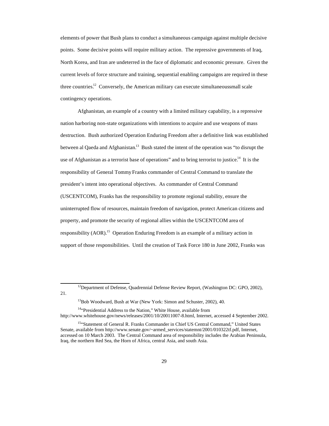elements of power that Bush plans to conduct a simultaneous campaign against multiple decisive points. Some decisive points will require military action. The repressive governments of Iraq, North Korea, and Iran are undeterred in the face of diplomatic and economic pressure. Given the current levels of force structure and training, sequential enabling campaigns are required in these three countries.<sup>12</sup> Conversely, the American military can execute simultaneous small scale contingency operations.

Afghanistan, an example of a country with a limited military capability, is a repressive nation harboring non-state organizations with intentions to acquire and use weapons of mass destruction. Bush authorized Operation Enduring Freedom after a definitive link was established between al Qaeda and Afghanistan.<sup>13</sup> Bush stated the intent of the operation was "to disrupt the use of Afghanistan as a terrorist base of operations" and to bring terrorist to justice.<sup>14</sup> It is the responsibility of General Tommy Franks commander of Central Command to translate the president's intent into operational objectives. As commander of Central Command (USCENTCOM), Franks has the responsibility to promote regional stability, ensure the uninterrupted flow of resources, maintain freedom of navigation, protect American citizens and property, and promote the security of regional allies within the USCENTCOM area of responsibility (AOR).<sup>15</sup> Operation Enduring Freedom is an example of a military action in support of those responsibilities. Until the creation of Task Force 180 in June 2002, Franks was

<sup>14"</sup>Presidential Address to the Nation," White House, available from

<sup>&</sup>lt;sup>12</sup>Department of Defense, Quadrennial Defense Review Report, (Washington DC: GPO, 2002), 21.

<sup>&</sup>lt;sup>13</sup>Bob Woodward, Bush at War (New York: Simon and Schuster, 2002), 40.

http://www.whitehouse.gov/news/releases/2001/10/20011007-8.html, Internet, accessed 4 September 2002.

<sup>15&</sup>quot;Statement of General R. Franks Commander in Chief US Central Command," United States Senate, available from http://www.senate.gov/~armed\_services/statemnt/2001/010322tf.pdf, Internet, accessed on 10 March 2003. The Central Command area of responsibility includes the Arabian Peninsula, Iraq, the northern Red Sea, the Horn of Africa, central Asia, and south Asia.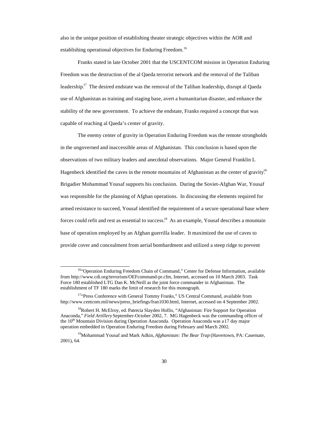also in the unique position of establishing theater strategic objectives within the AOR and establishing operational objectives for Enduring Freedom.<sup>16</sup>

Franks stated in late October 2001 that the USCENTCOM mission in Operation Enduring Freedom was the destruction of the al Qaeda terrorist network and the removal of the Taliban leadership.<sup>17</sup> The desired endstate was the removal of the Taliban leadership, disrupt al Qaeda use of Afghanistan as training and staging base, avert a humanitarian disaster, and enhance the stability of the new government. To achieve the endstate, Franks required a concept that was capable of reaching al Qaeda's center of gravity.

The enemy center of gravity in Operation Enduring Freedom was the remote strongholds in the ungoverned and inaccessible areas of Afghanistan. This conclusion is based upon the observations of two military leaders and anecdotal observations. Major General Franklin L Hagenbeck identified the caves in the remote mountains of Afghanistan as the center of gravity.<sup>18</sup> Brigadier Mohammad Yousaf supports his conclusion. During the Soviet-Afghan War, Yousaf was responsible for the planning of Afghan operations. In discussing the elements required for armed resistance to succeed, Yousaf identified the requirement of a secure operational base where forces could refit and rest as essential to success.<sup>19</sup> As an example, Yousaf describes a mountain base of operation employed by an Afghan guerrilla leader. It maximized the use of caves to provide cover and concealment from aerial bombardment and utilized a steep ridge to prevent

<sup>&</sup>lt;sup>16"</sup>Operation Enduring Freedom Chain of Command," Center for Defense Information, available from http://www.cdi.org/terrorism/OEFcommand-pr.cfm, Internet, accessed on 10 March 2003. Task Force 180 established LTG Dan K. McNeill as the joint force commander in Afghanistan. The establishment of TF 180 marks the limit of research for this monograph.

<sup>&</sup>lt;sup>17</sup>"Press Conference with General Tommy Franks," US Central Command, available from http://www.centcom.mil/news/press\_briefings/fran1030.html, Internet, accessed on 4 September 2002.

<sup>&</sup>lt;sup>18</sup>Robert H. McElroy, ed. Patrecia Slayden Hollis, "Afghanistan: Fire Support for Operation Anaconda," *Field Artillery* September-October 2002, 7. MG Hagenbeck was the commanding officer of the  $10<sup>th</sup>$  Mountain Division during Operation Anaconda. Operation Anaconda was a 17 day major operation embedded in Operation Enduring Freedom during February and March 2002.

<sup>19</sup>Mohammad Yousaf and Mark Adkin, *Afghanistan: The Bear Trap* (Havertown, PA: Casemate, 2001), 64.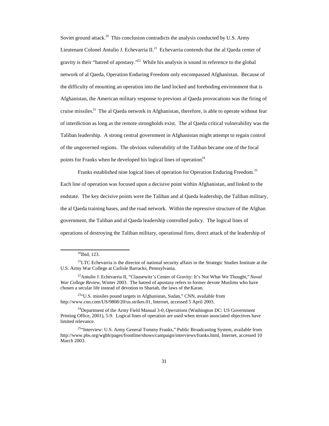Soviet ground attack.<sup>20</sup> This conclusion contradicts the analysis conducted by U.S. Army Lieutenant Colonel Antulio J. Echevarria II.<sup>21</sup> Echevarria contends that the al Qaeda center of gravity is their "hatred of apostasy."<sup>22</sup> While his analysis is sound in reference to the global network of al Qaeda, Operation Enduring Freedom only encompassed Afghanistan. Because of the difficulty of mounting an operation into the land locked and foreboding environment that is Afghanistan, the American military response to previous al Qaeda provocations was the firing of cruise missiles.<sup>23</sup> The al Qaeda network in Afghanistan, therefore, is able to operate without fear of interdiction as long as the remote strongholds exist. The al Qaeda critical vulnerability was the Taliban leadership. A strong central government in Afghanistan might attempt to regain control of the ungoverned regions. The obvious vulnerability of the Taliban became one of the focal points for Franks when he developed his logical lines of operation.<sup>24</sup>

Franks established nine logical lines of operation for Operation Enduring Freedom.<sup>25</sup> Each line of operation was focused upon a decisive point within Afghanistan, and linked to the endstate. The key decisive points were the Taliban and al Qaeda leadership, the Taliban military, the al Qaeda training bases, and the road network. Within the repressive structure of the Afghan government, the Taliban and al Qaeda leadership controlled policy. The logical lines of operations of destroying the Taliban military, operational fires, direct attack of the leadership of

 $\overline{a}$ 

<sup>23"</sup>U.S. missiles pound targets in Afghanistan, Sudan," CNN, available from http://www.cnn.com/US/9808/20/us.strikes.01, Internet, accessed 5 April 2003.

<sup>24</sup>Department of the Army Field Manual 3-0, *Operations* (Washington DC: US Government Printing Office, 2001), 5-9. Logical lines of operation are used when terrain associated objectives have limited relevance.

<sup>&</sup>lt;sup>20</sup>Ibid, 123.

<sup>&</sup>lt;sup>21</sup>LTC Echevarria is the director of national security affairs in the Strategic Studies Institute at the U.S. Army War College at Carlisle Barracks, Pennsylvania.

<sup>22</sup>Antulio J. Echevarria II, "Clausewitz's Center of Gravity: It's Not What We Thought," *Naval War College Review*, Winter 2003. The hatred of apostasy refers to former devote Muslims who have chosen a secular life instead of devotion to Shariah, the laws of the Karan.

<sup>&</sup>lt;sup>25"</sup>Interview: U.S. Army General Tommy Franks," Public Broadcasting System, available from http://www.pbs.org/wgbh/pages/frontline/shows/campaign/interviews/franks.html, Internet, accessed 10 March 2003.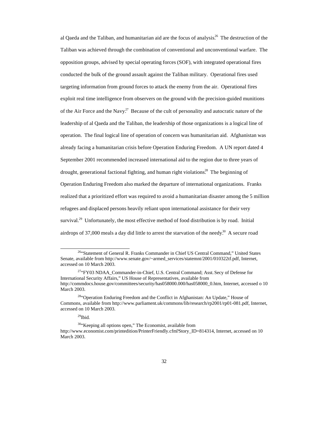al Qaeda and the Taliban, and humanitarian aid are the focus of analysis.<sup>26</sup> The destruction of the Taliban was achieved through the combination of conventional and unconventional warfare. The opposition groups, advised by special operating forces (SOF), with integrated operational fires conducted the bulk of the ground assault against the Taliban military. Operational fires used targeting information from ground forces to attack the enemy from the air. Operational fires exploit real time intelligence from observers on the ground with the precision-guided munitions of the Air Force and the Navy.<sup>27</sup> Because of the cult of personality and autocratic nature of the leadership of al Qaeda and the Taliban, the leadership of those organizations is a logical line of operation. The final logical line of operation of concern was humanitarian aid. Afghanistan was already facing a humanitarian crisis before Operation Enduring Freedom. A UN report dated 4 September 2001 recommended increased international aid to the region due to three years of drought, generational factional fighting, and human right violations.<sup>28</sup> The beginning of Operation Enduring Freedom also marked the departure of international organizations. Franks realized that a prioritized effort was required to avoid a humanitarian disaster among the 5 million refugees and displaced persons heavily reliant upon international assistance for their very survival.<sup>29</sup> Unfortunately, the most effective method of food distribution is by road. Initial airdrops of 37,000 meals a day did little to arrest the starvation of the needy.<sup>30</sup> A secure road

 $^{29}$ Ibid.

 $\overline{a}$ 

<sup>30</sup>"Keeping all options open," The Economist, available from http://www.economist.com/printedition/PrinterFriendly.cfm?Story\_ID=814314, Internet, accessed on 10 March 2003.

<sup>&</sup>lt;sup>26</sup>"Statement of General R. Franks Commander in Chief US Central Command," United States Senate, available from http://www.senate.gov/~armed\_services/statemnt/2001/010322tf.pdf, Internet, accessed on 10 March 2003.

<sup>&</sup>lt;sup>27</sup>"FY03 NDAA\_Commander-in-Chief, U.S. Central Command; Asst. Secy of Defense for International Security Affairs," US House of Representatives, available from http://commdocs.house.gov/committees/security/has058000.000/has058000\_0.htm, Internet, accessed o 10 March 2003.

<sup>&</sup>lt;sup>28"</sup>Operation Enduring Freedom and the Conflict in Afghanistan: An Update," House of Commons, available from http://www.parliament.uk/commons/lib/research/rp2001/rp01-081.pdf, Internet, accessed on 10 March 2003.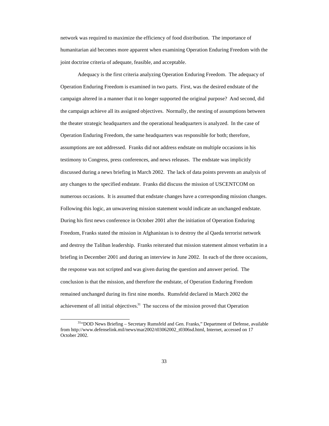network was required to maximize the efficiency of food distribution. The importance of humanitarian aid becomes more apparent when examining Operation Enduring Freedom with the joint doctrine criteria of adequate, feasible, and acceptable.

Adequacy is the first criteria analyzing Operation Enduring Freedom. The adequacy of Operation Enduring Freedom is examined in two parts. First, was the desired endstate of the campaign altered in a manner that it no longer supported the original purpose? And second, did the campaign achieve all its assigned objectives. Normally, the nesting of assumptions between the theater strategic headquarters and the operational headquarters is analyzed. In the case of Operation Enduring Freedom, the same headquarters was responsible for both; therefore, assumptions are not addressed. Franks did not address endstate on multiple occasions in his testimony to Congress, press conferences, and news releases. The endstate was implicitly discussed during a news briefing in March 2002. The lack of data points prevents an analysis of any changes to the specified endstate. Franks did discuss the mission of USCENTCOM on numerous occasions. It is assumed that endstate changes have a corresponding mission changes. Following this logic, an unwavering mission statement would indicate an unchanged endstate. During his first news conference in October 2001 after the initiation of Operation Enduring Freedom, Franks stated the mission in Afghanistan is to destroy the al Qaeda terrorist network and destroy the Taliban leadership. Franks reiterated that mission statement almost verbatim in a briefing in December 2001 and during an interview in June 2002. In each of the three occasions, the response was not scripted and was given during the question and answer period. The conclusion is that the mission, and therefore the endstate, of Operation Enduring Freedom remained unchanged during its first nine months. Rumsfeld declared in March 2002 the achievement of all initial objectives.<sup>31</sup> The success of the mission proved that Operation

<sup>&</sup>lt;sup>31</sup>"DOD News Briefing - Secretary Rumsfeld and Gen. Franks," Department of Defense, available from http://www.defenselink.mil/news/mar2002/t03062002\_t0306sd.html, Internet, accessed on 17 October 2002.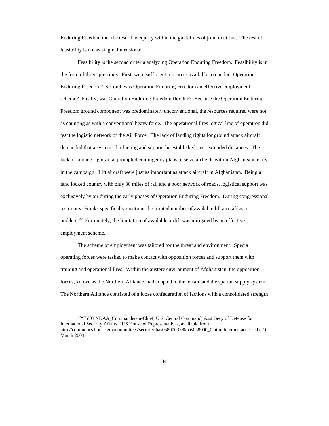Enduring Freedom met the test of adequacy within the guidelines of joint doctrine. The test of feasibility is not as single dimensional.

Feasibility is the second criteria analyzing Operation Enduring Freedom. Feasibility is in the form of three questions. First, were sufficient resources available to conduct Operation Enduring Freedom? Second, was Operation Enduring Freedom an effective employment scheme? Finally, was Operation Enduring Freedom flexible? Because the Operation Enduring Freedom ground component was predominately unconventional, the resources required were not as daunting as with a conventional heavy force. The operational fires logical line of operation did test the logistic network of the Air Force. The lack of landing rights for ground attack aircraft demanded that a system of refueling and support be established over extended distances. The lack of landing rights also prompted contingency plans to seize airfields within Afghanistan early in the campaign. Lift aircraft were just as important as attack aircraft in Afghanistan. Being a land locked country with only 30 miles of rail and a poor network of roads, logistical support was exclusively by air during the early phases of Operation Enduring Freedom. During congressional testimony, Franks specifically mentions the limited number of available lift aircraft as a problem.<sup>32</sup> Fortunately, the limitation of available airlift was mitigated by an effective employment scheme.

The scheme of employment was tailored for the threat and environment. Special operating forces were tasked to make contact with opposition forces and support them with training and operational fires. Within the austere environment of Afghanistan, the opposition forces, known as the Northern Alliance, had adapted to the terrain and the spartan supply system. The Northern Alliance consisted of a loose confederation of factions with a consolidated strength

<sup>32&</sup>quot;FY03 NDAA\_Commander-in-Chief, U.S. Central Command; Asst. Secy of Defense for International Security Affairs," US House of Representatives, available from http://commdocs.house.gov/committees/security/has058000.000/has058000\_0.htm, Internet, accessed o 10 March 2003.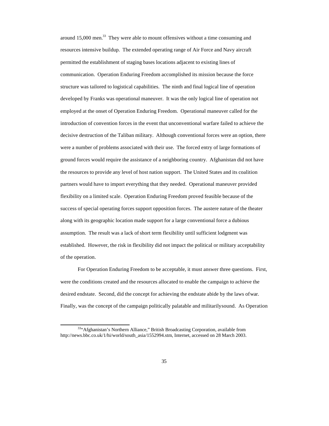around 15,000 men.<sup>33</sup> They were able to mount offensives without a time consuming and resources intensive buildup. The extended operating range of Air Force and Navy aircraft permitted the establishment of staging bases locations adjacent to existing lines of communication. Operation Enduring Freedom accomplished its mission because the force structure was tailored to logistical capabilities. The ninth and final logical line of operation developed by Franks was operational maneuver. It was the only logical line of operation not employed at the onset of Operation Enduring Freedom. Operational maneuver called for the introduction of convention forces in the event that unconventional warfare failed to achieve the decisive destruction of the Taliban military. Although conventional forces were an option, there were a number of problems associated with their use. The forced entry of large formations of ground forces would require the assistance of a neighboring country. Afghanistan did not have the resources to provide any level of host nation support. The United States and its coalition partners would have to import everything that they needed. Operational maneuver provided flexibility on a limited scale. Operation Enduring Freedom proved feasible because of the success of special operating forces support opposition forces. The austere nature of the theater along with its geographic location made support for a large conventional force a dubious assumption. The result was a lack of short term flexibility until sufficient lodgment was established. However, the risk in flexibility did not impact the political or military acceptability of the operation.

For Operation Enduring Freedom to be acceptable, it must answer three questions. First, were the conditions created and the resources allocated to enable the campaign to achieve the desired endstate. Second, did the concept for achieving the endstate abide by the laws of war. Finally, was the concept of the campaign politically palatable and militarily sound. As Operation

<sup>33&</sup>quot;Afghanistan's Northern Alliance," British Broadcasting Corporation, available from http://news.bbc.co.uk/1/hi/world/south\_asia/1552994.stm, Internet, accessed on 28 March 2003.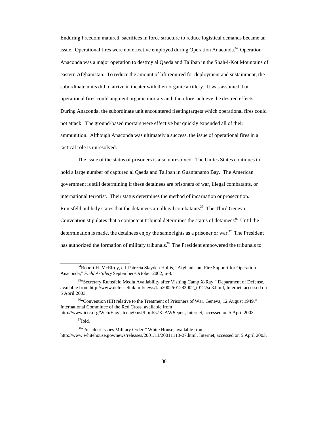Enduring Freedom matured, sacrifices in force structure to reduce logistical demands became an issue. Operational fires were not effective employed during Operation Anaconda.<sup>34</sup> Operation Anaconda was a major operation to destroy al Qaeda and Taliban in the Shah-i-Kot Mountains of eastern Afghanistan. To reduce the amount of lift required for deployment and sustainment, the subordinate units did to arrive in theater with their organic artillery. It was assumed that operational fires could augment organic mortars and, therefore, achieve the desired effects. During Anaconda, the subordinate unit encountered fleeting targets which operational fires could not attack. The ground-based mortars were effective but quickly expended all of their ammunition. Although Anaconda was ultimately a success, the issue of operational fires in a tactical role is unresolved.

The issue of the status of prisoners is also unresolved. The Unites States continues to hold a large number of captured al Qaeda and Taliban in Guantanamo Bay. The American government is still determining if these detainees are prisoners of war, illegal combatants, or international terrorist. Their status determines the method of incarnation or prosecution. Rumsfeld publicly states that the detainees are illegal combatants.<sup>35</sup> The Third Geneva Convention stipulates that a competent tribunal determines the status of detainees.<sup>36</sup> Until the determination is made, the detainees enjoy the same rights as a prisoner or war. $37$  The President has authorized the formation of military tribunals.<sup>38</sup> The President empowered the tribunals to

 $\overline{a}$ <sup>34</sup>Robert H. McElroy, ed. Patrecia Slayden Hollis, "Afghanistan: Fire Support for Operation Anaconda," *Field Artillery* September-October 2002, 6-8.

<sup>&</sup>lt;sup>35</sup>"Secretary Rumsfeld Media Availability after Visiting Camp X-Ray," Department of Defense, available from http://www.defenselink.mil/news/Jan2002/t01282002\_t0127sd3.html, Internet, accessed on 5 April 2003.

<sup>&</sup>lt;sup>36</sup>"Convention (III) relative to the Treatment of Prisoners of War. Geneva, 12 August 1949," International Committee of the Red Cross, available from

http://www.icrc.org/Web/Eng/siteeng0.nsf/html/57KJAW!Open, Internet, accessed on 5 April 2003.

 $37$ Ibid.

<sup>38</sup>"President Issues Military Order," White House, available from http://www.whitehouse.gov/news/releases/2001/11/20011113-27.html, Internet, accessed on 5 April 2003.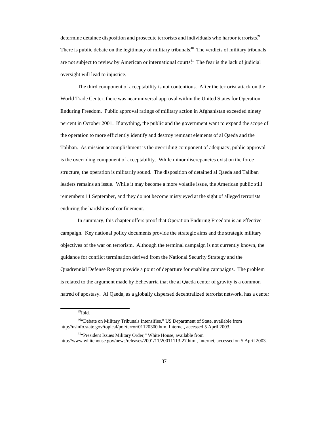determine detainee disposition and prosecute terrorists and individuals who harbor terrorists.<sup>39</sup> There is public debate on the legitimacy of military tribunals.<sup> $40$ </sup> The verdicts of military tribunals are not subject to review by American or international courts.<sup>41</sup> The fear is the lack of judicial oversight will lead to injustice.

The third component of acceptability is not contentious. After the terrorist attack on the World Trade Center, there was near universal approval within the United States for Operation Enduring Freedom. Public approval ratings of military action in Afghanistan exceeded ninety percent in October 2001. If anything, the public and the government want to expand the scope of the operation to more efficiently identify and destroy remnant elements of al Qaeda and the Taliban. As mission accomplishment is the overriding component of adequacy, public approval is the overriding component of acceptability. While minor discrepancies exist on the force structure, the operation is militarily sound. The disposition of detained al Qaeda and Taliban leaders remains an issue. While it may become a more volatile issue, the American public still remembers 11 September, and they do not become misty eyed at the sight of alleged terrorists enduring the hardships of confinement.

In summary, this chapter offers proof that Operation Enduring Freedom is an effective campaign. Key national policy documents provide the strategic aims and the strategic military objectives of the war on terrorism. Although the terminal campaign is not currently known, the guidance for conflict termination derived from the National Security Strategy and the Quadrennial Defense Report provide a point of departure for enabling campaigns. The problem is related to the argument made by Echevarria that the al Qaeda center of gravity is a common hatred of apostasy. Al Qaeda, as a globally dispersed decentralized terrorist network, has a center

<sup>39</sup>Ibid.

<sup>&</sup>lt;sup>40"</sup>Debate on Military Tribunals Intensifies," US Department of State, available from http://usinfo.state.gov/topical/pol/terror/01120300.htm, Internet, accessed 5 April 2003.

<sup>41</sup>"President Issues Military Order," White House, available from http://www.whitehouse.gov/news/releases/2001/11/20011113-27.html, Internet, accessed on 5 April 2003.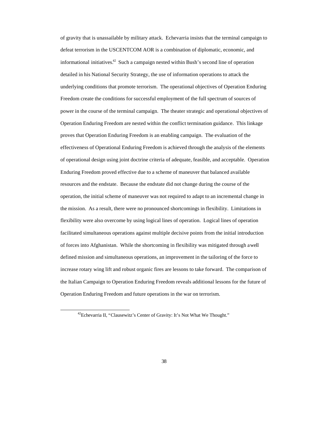of gravity that is unassailable by military attack. Echevarria insists that the terminal campaign to defeat terrorism in the USCENTCOM AOR is a combination of diplomatic, economic, and informational initiatives.<sup>42</sup> Such a campaign nested within Bush's second line of operation detailed in his National Security Strategy, the use of information operations to attack the underlying conditions that promote terrorism. The operational objectives of Operation Enduring Freedom create the conditions for successful employment of the full spectrum of sources of power in the course of the terminal campaign. The theater strategic and operational objectives of Operation Enduring Freedom are nested within the conflict termination guidance. This linkage proves that Operation Enduring Freedom is an enabling campaign. The evaluation of the effectiveness of Operational Enduring Freedom is achieved through the analysis of the elements of operational design using joint doctrine criteria of adequate, feasible, and acceptable. Operation Enduring Freedom proved effective due to a scheme of maneuver that balanced available resources and the endstate. Because the endstate did not change during the course of the operation, the initial scheme of maneuver was not required to adapt to an incremental change in the mission. As a result, there were no pronounced shortcomings in flexibility. Limitations in flexibility were also overcome by using logical lines of operation. Logical lines of operation facilitated simultaneous operations against multiple decisive points from the initial introduction of forces into Afghanistan. While the shortcoming in flexibility was mitigated through a well defined mission and simultaneous operations, an improvement in the tailoring of the force to increase rotary wing lift and robust organic fires are lessons to take forward. The comparison of the Italian Campaign to Operation Enduring Freedom reveals additional lessons for the future of Operation Enduring Freedom and future operations in the war on terrorism.

<sup>42</sup>Echevarria II, "Clausewitz's Center of Gravity: It's Not What We Thought."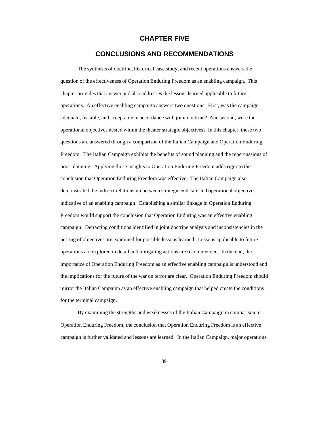#### **CHAPTER FIVE**

#### **CONCLUSIONS AND RECOMMENDATIONS**

The synthesis of doctrine, historical case study, and recent operations answers the question of the effectiveness of Operation Enduring Freedom as an enabling campaign. This chapter provides that answer and also addresses the lessons learned applicable to future operations. An effective enabling campaign answers two questions. First, was the campaign adequate, feasible, and acceptable in accordance with joint doctrine? And second, were the operational objectives nested within the theater strategic objectives? In this chapter, these two questions are answered through a comparison of the Italian Campaign and Operation Enduring Freedom. The Italian Campaign exhibits the benefits of sound planning and the repercussions of poor planning. Applying those insights to Operation Enduring Freedom adds rigor to the conclusion that Operation Enduring Freedom was effective. The Italian Campaign also demonstrated the indirect relationship between strategic endstate and operational objectives indicative of an enabling campaign. Establishing a similar linkage in Operation Enduring Freedom would support the conclusion that Operation Enduring was an effective enabling campaign. Detracting conditions identified in joint doctrine analysis and inconsistencies in the nesting of objectives are examined for possible lessons learned. Lessons applicable to future operations are explored in detail and mitigating actions are recommended. In the end, the importance of Operation Enduring Freedom as an effective enabling campaign is understood and the implications for the future of the war on terror are clear. Operation Enduring Freedom should mirror the Italian Campaign as an effective enabling campaign that helped create the conditions for the terminal campaign.

By examining the strengths and weaknesses of the Italian Campaign in comparison to Operation Enduring Freedom, the conclusion that Operation Enduring Freedom is an effective campaign is further validated and lessons are learned. In the Italian Campaign, major operations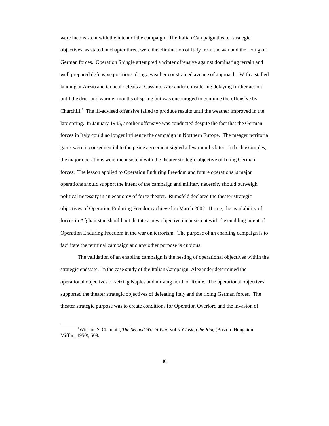were inconsistent with the intent of the campaign. The Italian Campaign theater strategic objectives, as stated in chapter three, were the elimination of Italy from the war and the fixing of German forces. Operation Shingle attempted a winter offensive against dominating terrain and well prepared defensive positions along a weather constrained avenue of approach. With a stalled landing at Anzio and tactical defeats at Cassino, Alexander considering delaying further action until the drier and warmer months of spring but was encouraged to continue the offensive by Churchill.<sup>1</sup> The ill-advised offensive failed to produce results until the weather improved in the late spring. In January 1945, another offensive was conducted despite the fact that the German forces in Italy could no longer influence the campaign in Northern Europe. The meager territorial gains were inconsequential to the peace agreement signed a few months later. In both examples, the major operations were inconsistent with the theater strategic objective of fixing German forces. The lesson applied to Operation Enduring Freedom and future operations is major operations should support the intent of the campaign and military necessity should outweigh political necessity in an economy of force theater. Rumsfeld declared the theater strategic objectives of Operation Enduring Freedom achieved in March 2002. If true, the availability of forces in Afghanistan should not dictate a new objective inconsistent with the enabling intent of Operation Enduring Freedom in the war on terrorism. The purpose of an enabling campaign is to facilitate the terminal campaign and any other purpose is dubious.

The validation of an enabling campaign is the nesting of operational objectives within the strategic endstate. In the case study of the Italian Campaign, Alexander determined the operational objectives of seizing Naples and moving north of Rome. The operational objectives supported the theater strategic objectives of defeating Italy and the fixing German forces. The theater strategic purpose was to create conditions for Operation Overlord and the invasion of

<sup>1</sup>Winston S. Churchill, *The Second World War*, vol 5: *Closing the Ring* (Boston: Houghton Mifflin, 1950), 509.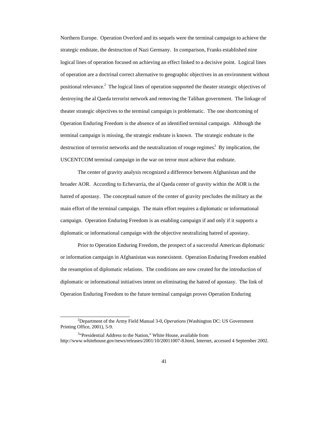Northern Europe. Operation Overlord and its sequels were the terminal campaign to achieve the strategic endstate, the destruction of Nazi Germany. In comparison, Franks established nine logical lines of operation focused on achieving an effect linked to a decisive point. Logical lines of operation are a doctrinal correct alternative to geographic objectives in an environment without positional relevance.<sup>2</sup> The logical lines of operation supported the theater strategic objectives of destroying the al Qaeda terrorist network and removing the Taliban government. The linkage of theater strategic objectives to the terminal campaign is problematic. The one shortcoming of Operation Enduring Freedom is the absence of an identified terminal campaign. Although the terminal campaign is missing, the strategic endstate is known. The strategic endstate is the destruction of terrorist networks and the neutralization of rouge regimes.<sup>3</sup> By implication, the USCENTCOM terminal campaign in the war on terror must achieve that endstate.

The center of gravity analysis recognized a difference between Afghanistan and the broader AOR. According to Echevarria, the al Qaeda center of gravity within the AOR is the hatred of apostasy. The conceptual nature of the center of gravity precludes the military as the main effort of the terminal campaign. The main effort requires a diplomatic or informational campaign. Operation Enduring Freedom is an enabling campaign if and only if it supports a diplomatic or informational campaign with the objective neutralizing hatred of apostasy.

Prior to Operation Enduring Freedom, the prospect of a successful American diplomatic or information campaign in Afghanistan was nonexistent. Operation Enduring Freedom enabled the resumption of diplomatic relations. The conditions are now created for the introduction of diplomatic or informational initiatives intent on eliminating the hatred of apostasy. The link of Operation Enduring Freedom to the future terminal campaign proves Operation Enduring

 $\overline{a}$ <sup>2</sup>Department of the Army Field Manual 3-0, *Operations* (Washington DC: US Government Printing Office, 2001), 5-9.

<sup>&</sup>lt;sup>3</sup>"Presidential Address to the Nation," White House, available from http://www.whitehouse.gov/news/releases/2001/10/20011007-8.html, Internet, accessed 4 September 2002.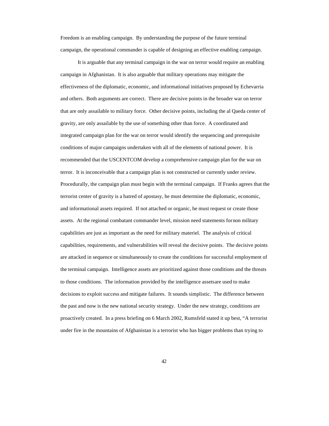Freedom is an enabling campaign. By understanding the purpose of the future terminal campaign, the operational commander is capable of designing an effective enabling campaign.

It is arguable that any terminal campaign in the war on terror would require an enabling campaign in Afghanistan. It is also arguable that military operations may mitigate the effectiveness of the diplomatic, economic, and informational initiatives proposed by Echevarria and others. Both arguments are correct. There are decisive points in the broader war on terror that are only assailable to military force. Other decisive points, including the al Qaeda center of gravity, are only assailable by the use of something other than force. A coordinated and integrated campaign plan for the war on terror would identify the sequencing and prerequisite conditions of major campaigns undertaken with all of the elements of national power. It is recommended that the USCENTCOM develop a comprehensive campaign plan for the war on terror. It is inconceivable that a campaign plan is not constructed or currently under review. Procedurally, the campaign plan must begin with the terminal campaign. If Franks agrees that the terrorist center of gravity is a hatred of apostasy, he must determine the diplomatic, economic, and informational assets required. If not attached or organic, he must request or create those assets. At the regional combatant commander level, mission need statements for non military capabilities are just as important as the need for military materiel. The analysis of critical capabilities, requirements, and vulnerabilities will reveal the decisive points. The decisive points are attacked in sequence or simultaneously to create the conditions for successful employment of the terminal campaign. Intelligence assets are prioritized against those conditions and the threats to those conditions. The information provided by the intelligence assets are used to make decisions to exploit success and mitigate failures. It sounds simplistic. The difference between the past and now is the new national security strategy. Under the new strategy, conditions are proactively created. In a press briefing on 6 March 2002, Rumsfeld stated it up best, "A terrorist under fire in the mountains of Afghanistan is a terrorist who has bigger problems than trying to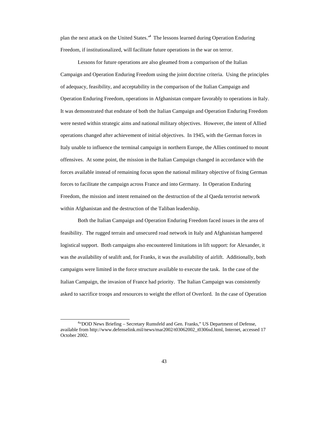plan the next attack on the United States." The lessons learned during Operation Enduring Freedom, if institutionalized, will facilitate future operations in the war on terror.

Lessons for future operations are also gleamed from a comparison of the Italian Campaign and Operation Enduring Freedom using the joint doctrine criteria. Using the principles of adequacy, feasibility, and acceptability in the comparison of the Italian Campaign and Operation Enduring Freedom, operations in Afghanistan compare favorably to operations in Italy. It was demonstrated that endstate of both the Italian Campaign and Operation Enduring Freedom were nested within strategic aims and national military objectives. However, the intent of Allied operations changed after achievement of initial objectives. In 1945, with the German forces in Italy unable to influence the terminal campaign in northern Europe, the Allies continued to mount offensives. At some point, the mission in the Italian Campaign changed in accordance with the forces available instead of remaining focus upon the national military objective of fixing German forces to facilitate the campaign across France and into Germany. In Operation Enduring Freedom, the mission and intent remained on the destruction of the al Qaeda terrorist network within Afghanistan and the destruction of the Taliban leadership.

Both the Italian Campaign and Operation Enduring Freedom faced issues in the area of feasibility. The rugged terrain and unsecured road network in Italy and Afghanistan hampered logistical support. Both campaigns also encountered limitations in lift support: for Alexander, it was the availability of sealift and, for Franks, it was the availability of airlift. Additionally, both campaigns were limited in the force structure available to execute the task. In the case of the Italian Campaign, the invasion of France had priority. The Italian Campaign was consistently asked to sacrifice troops and resources to weight the effort of Overlord. In the case of Operation

<sup>&</sup>lt;sup>4.</sup> DOD News Briefing - Secretary Rumsfeld and Gen. Franks," US Department of Defense, available from http://www.defenselink.mil/news/mar2002/t03062002\_t0306sd.html, Internet, accessed 17 October 2002.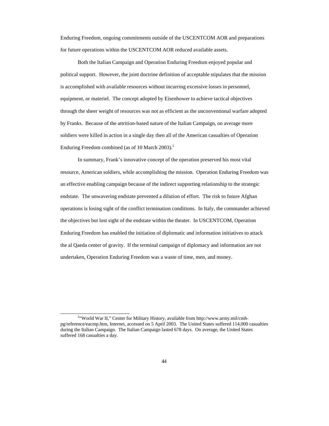Enduring Freedom, ongoing commitments outside of the USCENTCOM AOR and preparations for future operations within the USCENTCOM AOR reduced available assets.

Both the Italian Campaign and Operation Enduring Freedom enjoyed popular and political support. However, the joint doctrine definition of acceptable stipulates that the mission is accomplished with available resources without incurring excessive losses in personnel, equipment, or materiel. The concept adopted by Eisenhower to achieve tactical objectives through the sheer weight of resources was not as efficient as the unconventional warfare adopted by Franks. Because of the attrition-based nature of the Italian Campaign, on average more soldiers were killed in action in a single day then all of the American casualties of Operation Enduring Freedom combined (as of 10 March  $2003$ ).<sup>5</sup>

In summary, Frank's innovative concept of the operation preserved his most vital resource, American soldiers, while accomplishing the mission. Operation Enduring Freedom was an effective enabling campaign because of the indirect supporting relationship to the strategic endstate. The unwavering endstate prevented a dilution of effort. The risk to future Afghan operations is losing sight of the conflict termination conditions. In Italy, the commander achieved the objectives but lost sight of the endstate within the theater. In USCENTCOM, Operation Enduring Freedom has enabled the initiation of diplomatic and information initiatives to attack the al Qaeda center of gravity. If the terminal campaign of diplomacy and information are not undertaken, Operation Enduring Freedom was a waste of time, men, and money.

<sup>5</sup> "World War II," Center for Military History, available from http://www.army.mil/cmhpg/reference/eacmp.htm, Internet, accessed on 5 April 2003. The United States suffered 114,000 casualties during the Italian Campaign. The Italian Campaign lasted 678 days. On average, the United States suffered 168 casualties a day.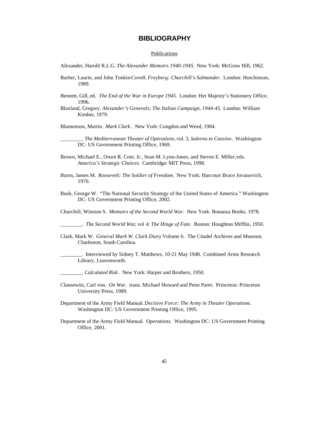### **BIBLIOGRAPHY**

#### **Publications**

Alexander, Harold R.L.G. *The Alexander Memoirs 1940-1945*. New York: McGraw Hill, 1962.

- Barber, Laurie, and John Tonkin-Covell. *Freyberg: Churchill's Salmander*. London: Hutchinson, 1989.
- Bennett, Gill, ed. *The End of the War in Europe 1945*. London: Her Majesty's Stationery Office, 1996.
- Blaxland, Gregory. *Alexander's Generals; The Italian Campaign, 1944-45*. London: William Kimber, 1979.

Blumenson, Martin. *Mark Clark* . New York: Congdon and Weed, 1984.

\_\_\_\_\_\_\_\_. *The Mediterranean Theater of Operations,* vol. 3*, Salerno to Cassino*. Washington DC: US Government Printing Office, 1969.

- Brown, Michael E., Owen R. Cote, Jr., Sean M. Lynn-Jones, and Steven E. Miller, eds. *America's Strategic Choices*. Cambridge: MIT Press, 1998.
- Burns, James M. *Roosevelt: The Soldier of Freedom.* New York: Harcourt Brace Jovanovich, 1970.
- Bush, George W. "The National Security Strategy of the United States of America." Washington DC: US Government Printing Office, 2002.

Churchill, Winston S. *Memoirs of the Second World War.* New York: Bonanza Books, 1978.

\_\_\_\_\_\_\_\_. *The Second World War*, vol 4: *The Hinge of Fate.* Boston: Houghton Mifflin, 1950.

- Clark, Mark W. *General Mark W. Clark Diary* Volume 6. The Citadel Archives and Museum. Charleston, South Carolina.
- \_\_\_\_\_\_\_\_. Interviewed by Sidney T. Matthews, 10-21 May 1948. Combined Arms Research Library, Leavenworth.

\_\_\_\_\_\_\_\_. *Calculated Risk* . New York: Harper and Brothers, 1950.

- Clausewitz, Carl von. *On War.* trans. Michael Howard and Peter Paret. Princeton: Princeton University Press, 1989.
- Department of the Army Field Manual. *Decisive Force: The Army in Theater Operations.* Washington DC: US Government Printing Office, 1995.
- Department of the Army Field Manual. *Operations.* Washington DC: US Government Printing Office, 2001.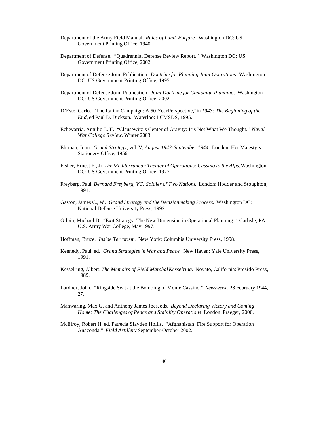- Department of the Army Field Manual. *Rules of Land Warfare*. Washington DC: US Government Printing Office, 1940.
- Department of Defense. "Quadrennial Defense Review Report." Washington DC: US Government Printing Office, 2002.
- Department of Defense Joint Publication. *Doctrine for Planning Joint Operations*. Washington DC: US Government Printing Office, 1995.
- Department of Defense Joint Publication. *Joint Doctrine for Campaign Planning*. Washington DC: US Government Printing Office, 2002.
- D'Este, Carlo. "The Italian Campaign: A 50 Year Perspective,"in *1943: The Beginning of the End*, ed Paul D. Dickson. Waterloo: LCMSDS, 1995.
- Echevarria, Antulio J.. II. "Clausewitz's Center of Gravity: It's Not What We Thought." *Naval War College Review*, Winter 2003.
- Ehrman, John. *Grand Strategy*, vol. V, *August 1943-September 1944*. London: Her Majesty's Stationery Office, 1956.
- Fisher, Ernest F., Jr. *The Mediterranean Theater of Operations: Cassino to the Alps.* Washington DC: US Government Printing Office, 1977.
- Freyberg, Paul. *Bernard Freyberg, VC: Soldier of Two Nations*. London: Hodder and Stoughton, 1991.
- Gaston, James C., ed. *Grand Strategy and the Decisionmaking Process*. Washington DC: National Defense University Press, 1992.
- Gilpin, Michael D. "Exit Strategy: The New Dimension in Operational Planning." Carlisle, PA: U.S. Army War College, May 1997.
- Hoffman, Bruce. *Inside Terrorism.* New York: Columbia University Press, 1998.
- Kennedy, Paul, ed. *Grand Strategies in War and Peace*. New Haven: Yale University Press, 1991.
- Kesselring, Albert. *The Memoirs of Field Marshal Kesselring*. Novato, California: Presido Press, 1989.
- Lardner, John. "Ringside Seat at the Bombing of Monte Cassino." *Newsweek* , 28 February 1944, 27.
- Manwaring, Max G. and Anthony James Joes, eds. *Beyond Declaring Victory and Coming Home: The Challenges of Peace and Stability Operations*. London: Praeger, 2000.
- McElroy, Robert H. ed. Patrecia Slayden Hollis. "Afghanistan: Fire Support for Operation Anaconda." *Field Artillery* September-October 2002.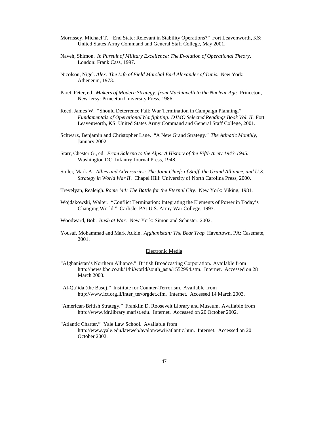- Morrissey, Michael T. "End State: Relevant in Stability Operations?" Fort Leavenworth, KS: United States Army Command and General Staff College, May 2001.
- Naveh, Shimon. *In Pursuit of Military Excellence: The Evolution of Operational Theory.* London: Frank Cass, 1997.
- Nicolson, Nigel. *Alex: The Life of Field Marshal Earl Alexander of Tunis*. New York: Atheneum, 1973.
- Paret, Peter, ed. *Makers of Modern Strategy: from Machiavelli to the Nuclear Age*. Princeton, New Jersy: Princeton University Press, 1986.
- Reed, James W. "Should Deterrence Fail: War Termination in Campaign Planning." *Fundamentals of Operational Warfighting: DJMO Selected Readings Book Vol. II. Fort* Leavenworth, KS: United States Army Command and General Staff College, 2001.
- Schwarz, Benjamin and Christopher Lane. "A New Grand Strategy." *The Atlnatic Monthly*, January 2002.
- Starr, Chester G., ed. *From Salerno to the Alps: A History of the Fifth Army 1943-1945*. Washington DC: Infantry Journal Press, 1948.
- Stoler, Mark A. *Allies and Adversaries: The Joint Chiefs of Staff, the Grand Alliance, and U.S. Strategy in World War II*. Chapel Hill: University of North Carolina Press, 2000.
- Trevelyan, Realeigh. *Rome '44: The Battle for the Eternal City*. New York: Viking, 1981.
- Wojdakowski, Walter. "Conflict Termination: Integrating the Elements of Power in Today's Changing World." Carlisle, PA: U.S. Army War College, 1993.
- Woodward, Bob. *Bush at War.* New York: Simon and Schuster, 2002.
- Yousaf, Mohammad and Mark Adkin. *Afghanistan: The Bear Trap* Havertown, PA: Casemate, 2001.

#### Electronic Media

- "Afghanistan's Northern Alliance." British Broadcasting Corporation. Available from http://news.bbc.co.uk/1/hi/world/south\_asia/1552994.stm. Internet. Accessed on 28 March 2003.
- "Al-Qa'ida (the Base)." Institute for Counter-Terrorism. Available from http://www.ict.org.il/inter\_ter/orgdet.cfm. Internet. Accessed 14 March 2003.
- "American-British Strategy." Franklin D. Roosevelt Library and Museum. Available from http://www.fdr.library.marist.edu. Internet. Accessed on 20 October 2002.
- "Atlantic Charter." Yale Law School. Available from http://www.yale.edu/lawweb/avalon/wwii/atlantic.htm. Internet. Accessed on 20 October 2002.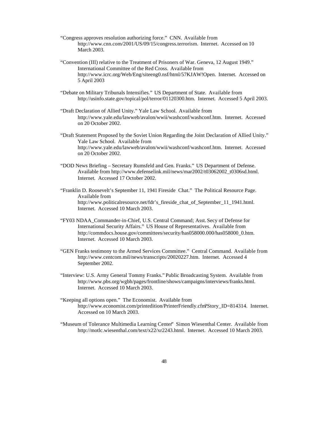- "Congress approves resolution authorizing force." CNN. Available from http://www.cnn.com/2001/US/09/15/congress.terrorism. Internet. Accessed on 10 March 2003.
- "Convention (III) relative to the Treatment of Prisoners of War. Geneva, 12 August 1949." International Committee of the Red Cross. Available from http://www.icrc.org/Web/Eng/siteeng0.nsf/html/57KJAW!Open. Internet. Accessed on 5 April 2003
- "Debate on Military Tribunals Intensifies." US Department of State. Available from http://usinfo.state.gov/topical/pol/terror/01120300.htm. Internet. Accessed 5 April 2003.
- "Draft Declaration of Allied Unity." Yale Law School. Available from http://www.yale.edu/lawweb/avalon/wwii/washconf/washconf.htm. Internet. Accessed on 20 October 2002.
- "Draft Statement Proposed by the Soviet Union Regarding the Joint Declaration of Allied Unity." Yale Law School. Available from http://www.yale.edu/lawweb/avalon/wwii/washconf/washconf.htm. Internet. Accessed on 20 October 2002.
- "DOD News Briefing Secretary Rumsfeld and Gen. Franks." US Department of Defense. Available from http://www.defenselink.mil/news/mar2002/t03062002\_t0306sd.html. Internet. Accessed 17 October 2002.
- "Franklin D. Roosevelt's September 11, 1941 Fireside Chat." The Political Resource Page. Available from http://www.politicalresource.net/fdr's\_fireside\_chat\_of\_September\_11\_1941.html. Internet. Accessed 10 March 2003.
- "FY03 NDAA\_Commander-in-Chief, U.S. Central Command; Asst. Secy of Defense for International Security Affairs." US House of Representatives. Available from http://commdocs.house.gov/committees/security/has058000.000/has058000\_0.htm. Internet. Accessed 10 March 2003.
- "GEN Franks testimony to the Armed Services Committee." Central Command. Available from http://www.centcom.mil/news/transcripts/20020227.htm. Internet. Accessed 4 September 2002.
- "Interview: U.S. Army General Tommy Franks." Public Broadcasting System. Available from http://www.pbs.org/wgbh/pages/frontline/shows/campaigns/interviews/franks.html. Internet. Accessed 10 March 2003.
- "Keeping all options open." The Economist. Available from http://www.economist.com/printedition/PrinterFriendly.cfm?Story\_ID=814314. Internet. Accessed on 10 March 2003.
- "Museum of Tolerance Multimedia Learning Center" Simon Wiesenthal Center. Available from http://motlc.wiesenthal.com/text/x22/xr2243.html. Internet. Accessed 10 March 2003.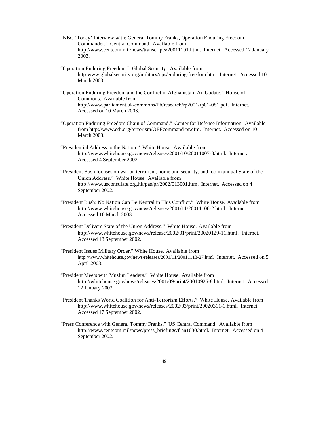- "NBC 'Today' Interview with: General Tommy Franks, Operation Enduring Freedom Commander." Central Command. Available from http://www.centcom.mil/news/transcripts/20011101.html. Internet. Accessed 12 January 2003.
- "Operation Enduring Freedom." Global Security. Available from http:www.globalsecurity.org/military/ops/enduring-freedom.htm. Internet. Accessed 10 March 2003.
- "Operation Enduring Freedom and the Conflict in Afghanistan: An Update." House of Commons. Available from http://www.parliament.uk/commons/lib/research/rp2001/rp01-081.pdf. Internet. Accessed on 10 March 2003.
- "Operation Enduring Freedom Chain of Command." Center for Defense Information. Available from http://www.cdi.org/terrorism/OEFcommand-pr.cfm. Internet. Accessed on 10 March 2003.
- "Presidential Address to the Nation." White House. Available from http://www.whitehouse.gov/news/releases/2001/10/20011007-8.html. Internet. Accessed 4 September 2002.
- "President Bush focuses on war on terrorism, homeland security, and job in annual State of the Union Address." White House. Available from http://www.usconsulate.org.hk/pas/pr/2002/013001.htm. Internet. Accessed on 4 September 2002.
- "President Bush: No Nation Can Be Neutral in This Conflict." White House. Available from http://www.whitehouse.gov/news/releases/2001/11/20011106-2.html. Internet. Accessed 10 March 2003.
- "President Delivers State of the Union Address." White House. Available from http://www.whitehouse.gov/news/release/2002/01/print/20020129-11.html. Internet. Accessed 13 September 2002.
- "President Issues Military Order." White House. Available from http://www.whitehouse.gov/news/releases/2001/11/20011113-27.html. Internet. Accessed on 5 April 2003.
- "President Meets with Muslim Leaders." White House. Available from http://whitehouse.gov/news/releases/2001/09/print/20010926-8.html. Internet. Accessed 12 January 2003.
- "President Thanks World Coalition for Anti-Terrorism Efforts." White House. Available from http://www.whitehouse.gov/news/releases/2002/03/print/20020311-1.html. Internet. Accessed 17 September 2002.
- "Press Conference with General Tommy Franks." US Central Command. Available from http://www.centcom.mil/news/press\_briefings/fran1030.html. Internet. Accessed on 4 September 2002.